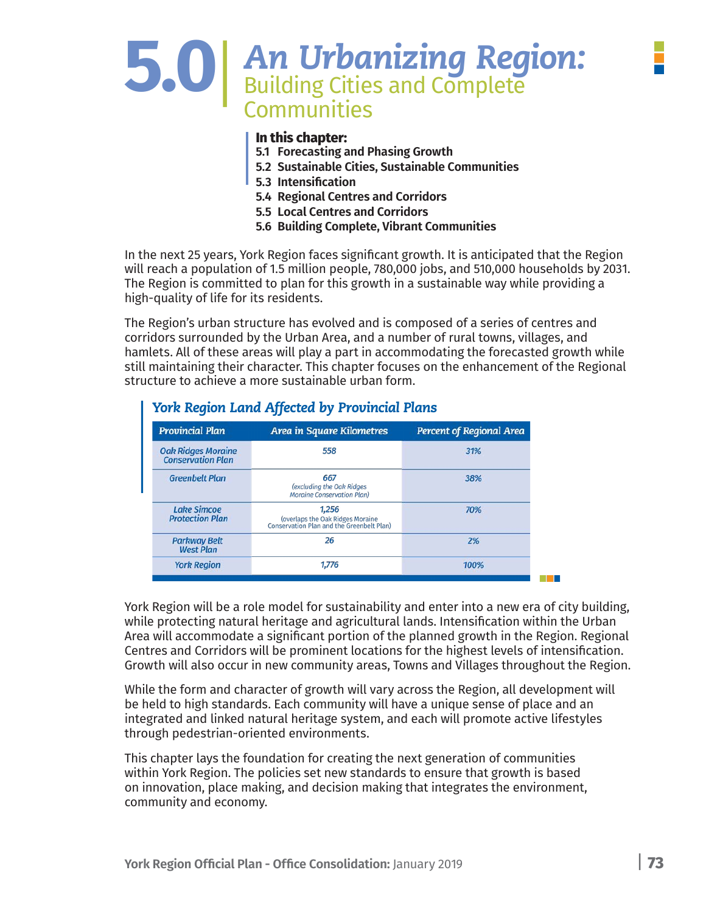# **5.0**|*An Urbanizing Region:* Building Cities and Complete **Communities**

#### **In this chapter:**

- **5.1 Forecasting and Phasing Growth**
- **5.2 Sustainable Cities, Sustainable Communities**
- **5.3 Intensification**
- **5.4 Regional Centres and Corridors**
- **5.5 Local Centres and Corridors**
- **5.6 Building Complete, Vibrant Communities**

In the next 25 years, York Region faces significant growth. It is anticipated that the Region will reach a population of 1.5 million people, 780,000 jobs, and 510,000 households by 2031. The Region is committed to plan for this growth in a sustainable way while providing a high-quality of life for its residents.

The Region's urban structure has evolved and is composed of a series of centres and corridors surrounded by the Urban Area, and a number of rural towns, villages, and hamlets. All of these areas will play a part in accommodating the forecasted growth while still maintaining their character. This chapter focuses on the enhancement of the Regional structure to achieve a more sustainable urban form.

| <b>Provincial Plan</b>                                | <b>Area in Square Kilometres</b>                                                       | Percent of Regional Area |  |
|-------------------------------------------------------|----------------------------------------------------------------------------------------|--------------------------|--|
| <b>Oak Ridges Moraine</b><br><b>Conservation Plan</b> | 558                                                                                    | 31%                      |  |
| <b>Greenbelt Plan</b>                                 | 667<br>(excluding the Oak Ridges<br><b>Moraine Conservation Plan)</b>                  | 38%                      |  |
| <b>Lake Simcoe</b><br><b>Protection Plan</b>          | 1.256<br>(overlaps the Oak Ridges Moraine<br>Conservation Plan and the Greenbelt Plan) | 70%                      |  |
| <b>Parkway Belt</b><br><b>West Plan</b>               | 26                                                                                     | 2%                       |  |
| <b>York Region</b>                                    | 1,776                                                                                  | 100%                     |  |

#### *York Region Land Affected by Provincial Plans*

York Region will be a role model for sustainability and enter into a new era of city building, while protecting natural heritage and agricultural lands. Intensification within the Urban Area will accommodate a significant portion of the planned growth in the Region. Regional Centres and Corridors will be prominent locations for the highest levels of intensification. Growth will also occur in new community areas, Towns and Villages throughout the Region.

While the form and character of growth will vary across the Region, all development will be held to high standards. Each community will have a unique sense of place and an integrated and linked natural heritage system, and each will promote active lifestyles through pedestrian-oriented environments.

This chapter lays the foundation for creating the next generation of communities within York Region. The policies set new standards to ensure that growth is based on innovation, place making, and decision making that integrates the environment, community and economy.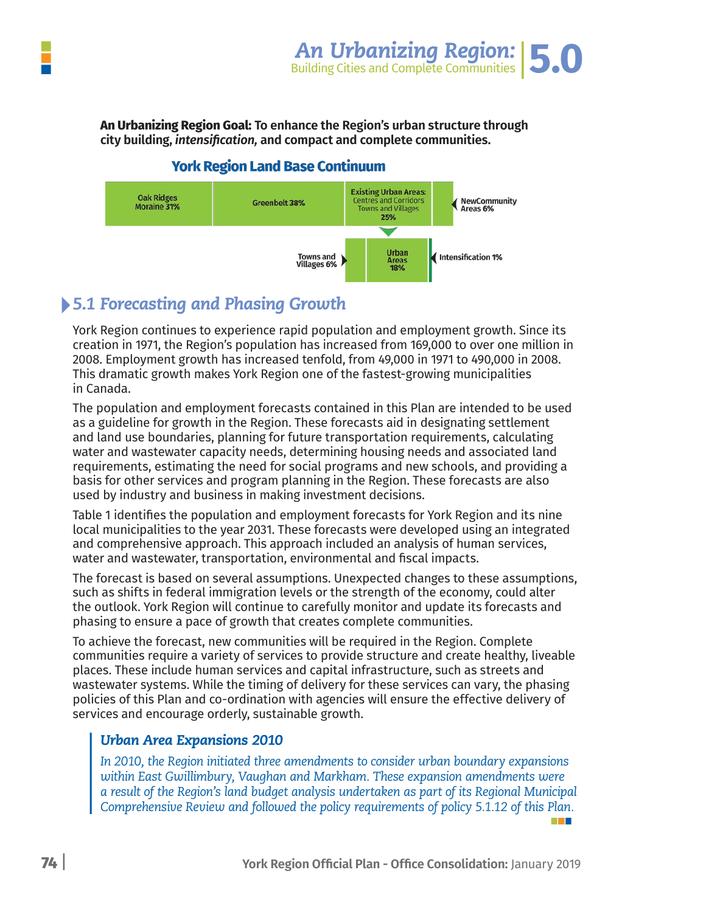

 **An Urbanizing Region Goal:**

#### **York Region Land Base Continuum**



# *5.1 Forecasting and Phasing Growth*

York Region continues to experience rapid population and employment growth. Since its creation in 1971, the Region's population has increased from 169,000 to over one million in 2008. Employment growth has increased tenfold, from 49,000 in 1971 to 490,000 in 2008. This dramatic growth makes York Region one of the fastest-growing municipalities in Canada.

The population and employment forecasts contained in this Plan are intended to be used as a guideline for growth in the Region. These forecasts aid in designating settlement and land use boundaries, planning for future transportation requirements, calculating water and wastewater capacity needs, determining housing needs and associated land requirements, estimating the need for social programs and new schools, and providing a basis for other services and program planning in the Region. These forecasts are also used by industry and business in making investment decisions.

Table 1 identifies the population and employment forecasts for York Region and its nine local municipalities to the year 2031. These forecasts were developed using an integrated and comprehensive approach. This approach included an analysis of human services, water and wastewater, transportation, environmental and fiscal impacts.

The forecast is based on several assumptions. Unexpected changes to these assumptions, such as shifts in federal immigration levels or the strength of the economy, could alter the outlook. York Region will continue to carefully monitor and update its forecasts and phasing to ensure a pace of growth that creates complete communities.

To achieve the forecast, new communities will be required in the Region. Complete communities require a variety of services to provide structure and create healthy, liveable places. These include human services and capital infrastructure, such as streets and wastewater systems. While the timing of delivery for these services can vary, the phasing policies of this Plan and co-ordination with agencies will ensure the effective delivery of services and encourage orderly, sustainable growth.

#### *Urban Area Expansions 2010*

*In 2010, the Region initiated three amendments to consider urban boundary expansions within East Gwillimbury, Vaughan and Markham. These expansion amendments were a result of the Region's land budget analysis undertaken as part of its Regional Municipal Comprehensive Review and followed the policy requirements of policy 5.1.12 of this Plan.*

**The Co**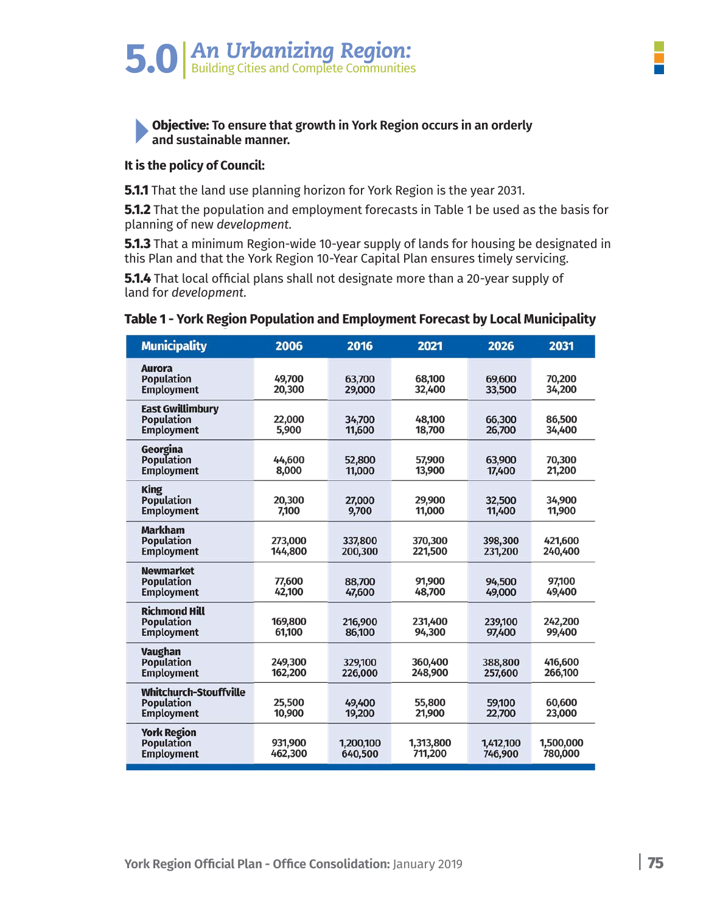

#### **Objective: To ensure that growth in York Region occurs in an orderly and sustainable manner.**

#### **It is the policy of Council:**

**5.1.1** That the land use planning horizon for York Region is the year 2031.

**5.1.2** That the population and employment forecasts in Table 1 be used as the basis for planning of new *development.*

**5.1.3** That a minimum Region-wide 10-year supply of lands for housing be designated in this Plan and that the York Region 10-Year Capital Plan ensures timely servicing.

**5.1.4** That local official plans shall not designate more than a 20-year supply of land for *development.* 

#### **Table 1 - York Region Population and Employment Forecast by Local Municipality**

| <b>Municipality</b>                                                     | 2006               | 2016                 | 2021                 | 2026                 | 2031                 |
|-------------------------------------------------------------------------|--------------------|----------------------|----------------------|----------------------|----------------------|
| <b>Aurora</b><br><b>Population</b><br><b>Employment</b>                 | 49,700<br>20,300   | 63,700<br>29,000     | 68,100<br>32,400     | 69,600<br>33,500     | 70,200<br>34,200     |
| <b>East Gwillimbury</b><br><b>Population</b><br><b>Employment</b>       | 22,000<br>5,900    | 34,700<br>11,600     | 48,100<br>18,700     | 66,300<br>26,700     | 86,500<br>34,400     |
| Georgina<br><b>Population</b><br><b>Employment</b>                      | 44,600<br>8,000    | 52,800<br>11,000     | 57,900<br>13,900     | 63,900<br>17,400     | 70,300<br>21,200     |
| <b>King</b><br><b>Population</b><br><b>Employment</b>                   | 20,300<br>7,100    | 27,000<br>9,700      | 29,900<br>11,000     | 32,500<br>11,400     | 34,900<br>11,900     |
| <b>Markham</b><br><b>Population</b><br><b>Employment</b>                | 273,000<br>144,800 | 337,800<br>200,300   | 370,300<br>221,500   | 398,300<br>231,200   | 421,600<br>240,400   |
| <b>Newmarket</b><br><b>Population</b><br><b>Employment</b>              | 77,600<br>42,100   | 88,700<br>47,600     | 91,900<br>48,700     | 94,500<br>49,000     | 97,100<br>49,400     |
| <b>Richmond Hill</b><br><b>Population</b><br><b>Employment</b>          | 169,800<br>61,100  | 216,900<br>86,100    | 231,400<br>94,300    | 239,100<br>97,400    | 242,200<br>99,400    |
| <b>Vaughan</b><br><b>Population</b><br><b>Employment</b>                | 249,300<br>162,200 | 329,100<br>226,000   | 360,400<br>248,900   | 388,800<br>257,600   | 416,600<br>266,100   |
| <b>Whitchurch-Stouffville</b><br><b>Population</b><br><b>Employment</b> | 25.500<br>10,900   | 49,400<br>19,200     | 55.800<br>21,900     | 59,100<br>22,700     | 60.600<br>23,000     |
| <b>York Region</b><br><b>Population</b><br><b>Employment</b>            | 931,900<br>462,300 | 1,200,100<br>640,500 | 1,313,800<br>711,200 | 1,412,100<br>746,900 | 1,500,000<br>780,000 |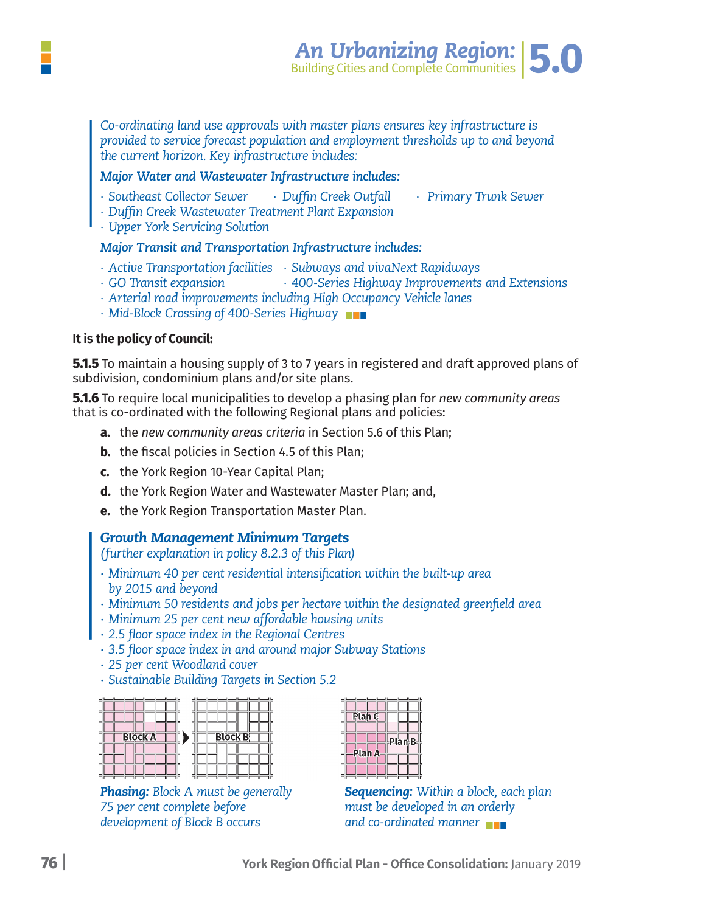

*Co-ordinating land use approvals with master plans ensures key infrastructure is provided to service forecast population and employment thresholds up to and beyond the current horizon. Key infrastructure includes:*

#### *Major Water and Wastewater Infrastructure includes:*

- *∙ Southeast Collector Sewer ∙ Duffin Creek Outfall ∙ Primary Trunk Sewer*
- *∙ Duffin Creek Wastewater Treatment Plant Expansion*
- *∙ Upper York Servicing Solution*

#### *Major Transit and Transportation Infrastructure includes:*

- *∙ Active Transportation facilities ∙ Subways and vivaNext Rapidways*
- *∙ GO Transit expansion ∙ 400-Series Highway Improvements and Extensions*
- *∙ Arterial road improvements including High Occupancy Vehicle lanes*
- *∙ Mid-Block Crossing of 400-Series Highway*

#### **It is the policy of Council:**

**5.1.5** To maintain a housing supply of 3 to 7 years in registered and draft approved plans of subdivision, condominium plans and/or site plans.

**5.1.6** To require local municipalities to develop a phasing plan for *new community areas* that is co-ordinated with the following Regional plans and policies:

- **a.** the *new community areas criteria* in Section 5.6 of this Plan;
- **b.** the fiscal policies in Section 4.5 of this Plan;
- **c.** the York Region 10-Year Capital Plan;
- **d.** the York Region Water and Wastewater Master Plan; and,
- **e.** the York Region Transportation Master Plan.

#### *Growth Management Minimum Targets*

*(further explanation in policy 8.2.3 of this Plan)*

- *∙ Minimum 40 per cent residential intensification within the built-up area by 2015 and beyond*
- *∙ Minimum 50 residents and jobs per hectare within the designated greenfield area*
- *∙ Minimum 25 per cent new affordable housing units*
- *∙ 2.5 floor space index in the Regional Centres*
- *∙ 3.5 floor space index in and around major Subway Stations*
- *∙ 25 per cent Woodland cover*
- *∙ Sustainable Building Targets in Section 5.2*



**Phasing:** Block A must be generally 75 per cent complete before development of Block B occurs

| Plan C |        |  |
|--------|--------|--|
|        | Plan B |  |
|        |        |  |
| Plan A |        |  |

**Sequencing:** Within a block, each plan must be developed in an orderly and co-ordinated manner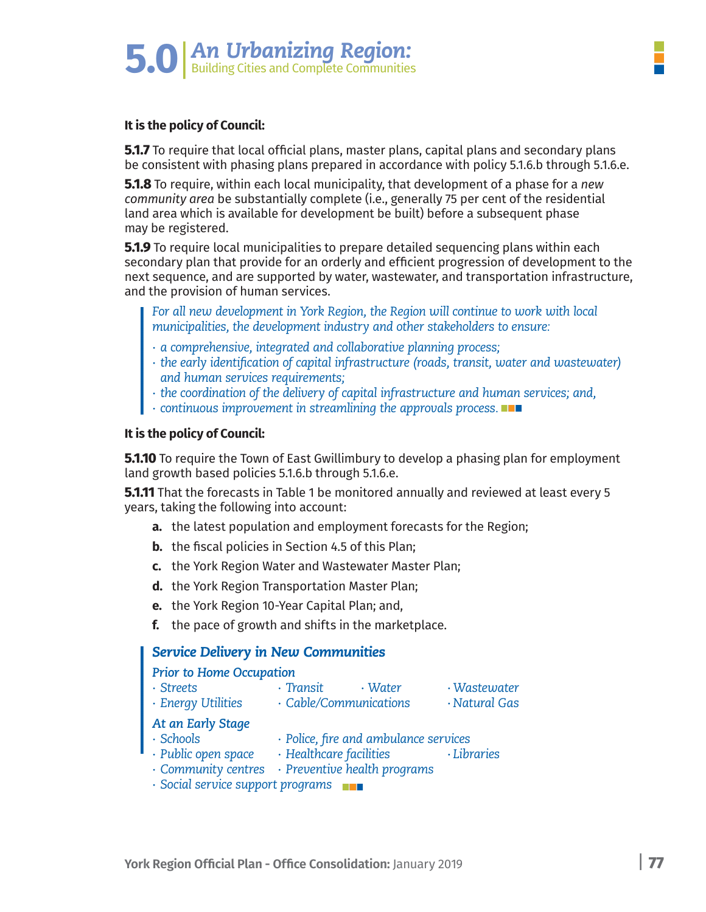

#### **It is the policy of Council:**

**5.1.7** To require that local official plans, master plans, capital plans and secondary plans be consistent with phasing plans prepared in accordance with policy 5.1.6.b through 5.1.6.e.

**5.1.8** To require, within each local municipality, that development of a phase for a *new community area* be substantially complete (i.e., generally 75 per cent of the residential land area which is available for development be built) before a subsequent phase may be registered.

**5.1.9** To require local municipalities to prepare detailed sequencing plans within each secondary plan that provide for an orderly and efficient progression of development to the next sequence, and are supported by water, wastewater, and transportation infrastructure, and the provision of human services.

*For all new development in York Region, the Region will continue to work with local municipalities, the development industry and other stakeholders to ensure:*

- *∙ a comprehensive, integrated and collaborative planning process;*
- *∙ the early identification of capital infrastructure (roads, transit, water and wastewater) and human services requirements;*
- *∙ the coordination of the delivery of capital infrastructure and human services; and,*
- *∙ continuous improvement in streamlining the approvals process.*

#### **It is the policy of Council:**

**5.1.10** To require the Town of East Gwillimbury to develop a phasing plan for employment land growth based policies 5.1.6.b through 5.1.6.e.

**5.1.11** That the forecasts in Table 1 be monitored annually and reviewed at least every 5 years, taking the following into account:

- **a.** the latest population and employment forecasts for the Region;
- **b.** the fiscal policies in Section 4.5 of this Plan;
- **c.** the York Region Water and Wastewater Master Plan;
- **d.** the York Region Transportation Master Plan;
- **e.** the York Region 10-Year Capital Plan; and,
- **f.** the pace of growth and shifts in the marketplace.

#### *Service Delivery in New Communities*

#### *Prior to Home Occupation*

- *∙ Streets ∙ Transit ∙ Water ∙ Wastewater*
	- *∙ Energy Utilities ∙ Cable/Communications ∙ Natural Gas*
- *At an Early Stage*
	- *∙ Schools ∙ Police, fire and ambulance services*
- *∙ Public open space ∙ Healthcare facilities ∙ Libraries*
- *∙ Community centres ∙ Preventive health programs*
- *∙ Social service support programs*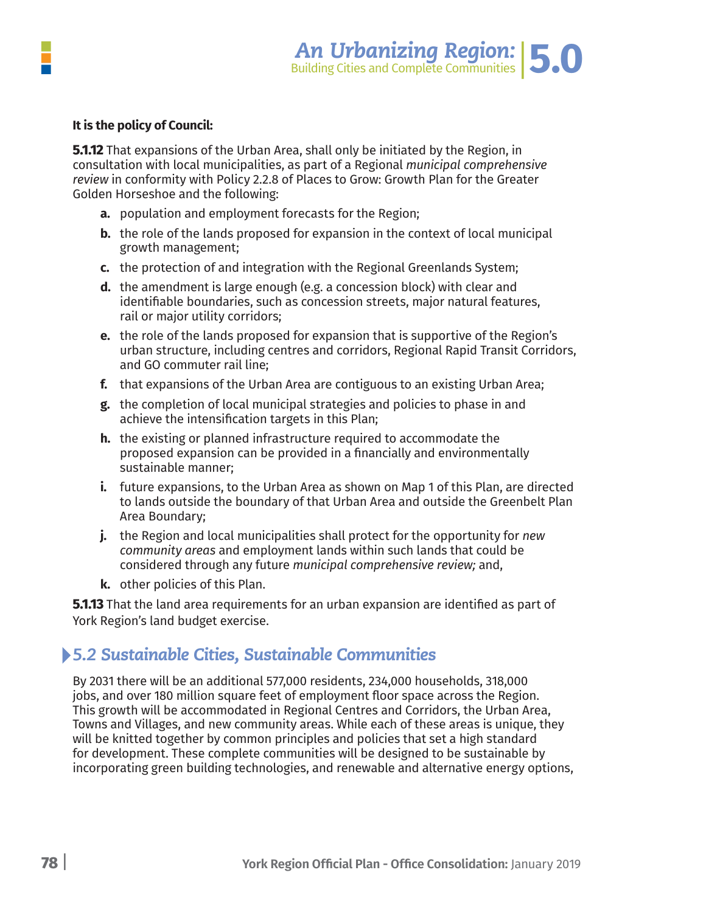

#### **It is the policy of Council:**

**5.1.12** That expansions of the Urban Area, shall only be initiated by the Region, in consultation with local municipalities, as part of a Regional *municipal comprehensive review* in conformity with Policy 2.2.8 of Places to Grow: Growth Plan for the Greater Golden Horseshoe and the following:

- **a.** population and employment forecasts for the Region;
- **b.** the role of the lands proposed for expansion in the context of local municipal growth management;
- **c.** the protection of and integration with the Regional Greenlands System;
- **d.** the amendment is large enough (e.g. a concession block) with clear and identifiable boundaries, such as concession streets, major natural features, rail or major utility corridors;
- **e.** the role of the lands proposed for expansion that is supportive of the Region's urban structure, including centres and corridors, Regional Rapid Transit Corridors, and GO commuter rail line;
- **f.** that expansions of the Urban Area are contiguous to an existing Urban Area;
- **g.** the completion of local municipal strategies and policies to phase in and achieve the intensification targets in this Plan;
- **h.** the existing or planned infrastructure required to accommodate the proposed expansion can be provided in a financially and environmentally sustainable manner;
- **i.** future expansions, to the Urban Area as shown on Map 1 of this Plan, are directed to lands outside the boundary of that Urban Area and outside the Greenbelt Plan Area Boundary;
- **j.** the Region and local municipalities shall protect for the opportunity for *new community areas* and employment lands within such lands that could be considered through any future *municipal comprehensive review;* and,
- **k.** other policies of this Plan.

**5.1.13** That the land area requirements for an urban expansion are identified as part of York Region's land budget exercise.

### *5.2 Sustainable Cities, Sustainable Communities*

By 2031 there will be an additional 577,000 residents, 234,000 households, 318,000 jobs, and over 180 million square feet of employment floor space across the Region. This growth will be accommodated in Regional Centres and Corridors, the Urban Area, Towns and Villages, and new community areas. While each of these areas is unique, they will be knitted together by common principles and policies that set a high standard for development. These complete communities will be designed to be sustainable by incorporating green building technologies, and renewable and alternative energy options,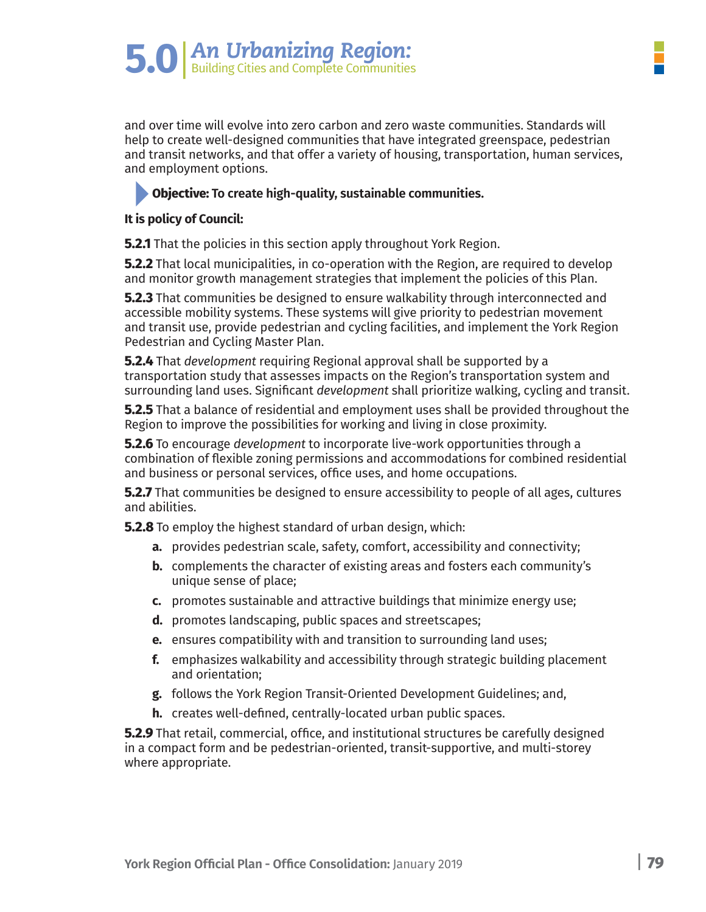and over time will evolve into zero carbon and zero waste communities. Standards will help to create well-designed communities that have integrated greenspace, pedestrian and transit networks, and that offer a variety of housing, transportation, human services, and employment options.

#### **Objective: To create high-quality, sustainable communities.**

#### **It is policy of Council:**

**5.2.1** That the policies in this section apply throughout York Region.

**5.2.2** That local municipalities, in co-operation with the Region, are required to develop and monitor growth management strategies that implement the policies of this Plan.

**5.2.3** That communities be designed to ensure walkability through interconnected and accessible mobility systems. These systems will give priority to pedestrian movement and transit use, provide pedestrian and cycling facilities, and implement the York Region Pedestrian and Cycling Master Plan.

**5.2.4** That *development* requiring Regional approval shall be supported by a transportation study that assesses impacts on the Region's transportation system and surrounding land uses. Significant *development* shall prioritize walking, cycling and transit.

**5.2.5** That a balance of residential and employment uses shall be provided throughout the Region to improve the possibilities for working and living in close proximity.

**5.2.6** To encourage *development* to incorporate live-work opportunities through a combination of flexible zoning permissions and accommodations for combined residential and business or personal services, office uses, and home occupations.

**5.2.7** That communities be designed to ensure accessibility to people of all ages, cultures and abilities.

**5.2.8** To employ the highest standard of urban design, which:

- **a.** provides pedestrian scale, safety, comfort, accessibility and connectivity;
- **b.** complements the character of existing areas and fosters each community's unique sense of place;
- **c.** promotes sustainable and attractive buildings that minimize energy use;
- **d.** promotes landscaping, public spaces and streetscapes;
- **e.** ensures compatibility with and transition to surrounding land uses;
- **f.** emphasizes walkability and accessibility through strategic building placement and orientation;
- **g.** follows the York Region Transit-Oriented Development Guidelines; and,
- **h.** creates well-defined, centrally-located urban public spaces.

**5.2.9** That retail, commercial, office, and institutional structures be carefully designed in a compact form and be pedestrian-oriented, transit-supportive, and multi-storey where appropriate.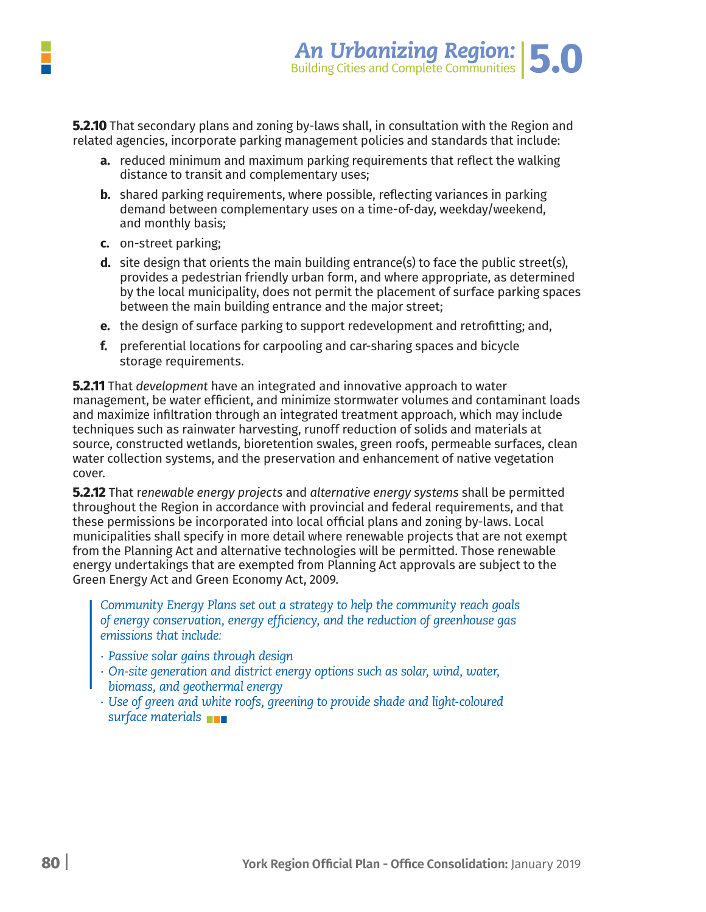

**5.2.10** That secondary plans and zoning by-laws shall, in consultation with the Region and related agencies, incorporate parking management policies and standards that include:

- **a.** reduced minimum and maximum parking requirements that reflect the walking distance to transit and complementary uses;
- **b.** shared parking requirements, where possible, reflecting variances in parking demand between complementary uses on a time-of-day, weekday/weekend, and monthly basis;
- **c.** on-street parking;
- **d.** site design that orients the main building entrance(s) to face the public street(s), provides a pedestrian friendly urban form, and where appropriate, as determined by the local municipality, does not permit the placement of surface parking spaces between the main building entrance and the major street;
- **e.** the design of surface parking to support redevelopment and retrofitting; and,
- **f.** preferential locations for carpooling and car-sharing spaces and bicycle storage requirements.

**5.2.11** That *development* have an integrated and innovative approach to water management, be water efficient, and minimize stormwater volumes and contaminant loads and maximize infiltration through an integrated treatment approach, which may include techniques such as rainwater harvesting, runoff reduction of solids and materials at source, constructed wetlands, bioretention swales, green roofs, permeable surfaces, clean water collection systems, and the preservation and enhancement of native vegetation cover.

**5.2.12** That r*enewable energy projects* and *alternative energy systems* shall be permitted throughout the Region in accordance with provincial and federal requirements, and that these permissions be incorporated into local official plans and zoning by-laws. Local municipalities shall specify in more detail where renewable projects that are not exempt from the Planning Act and alternative technologies will be permitted. Those renewable energy undertakings that are exempted from Planning Act approvals are subject to the Green Energy Act and Green Economy Act, 2009.

*Community Energy Plans set out a strategy to help the community reach goals of energy conservation, energy efficiency, and the reduction of greenhouse gas emissions that include:*

- *∙ Passive solar gains through design*
- *∙ On-site generation and district energy options such as solar, wind, water, biomass, and geothermal energy*
- *∙ Use of green and white roofs, greening to provide shade and light-coloured surface materials*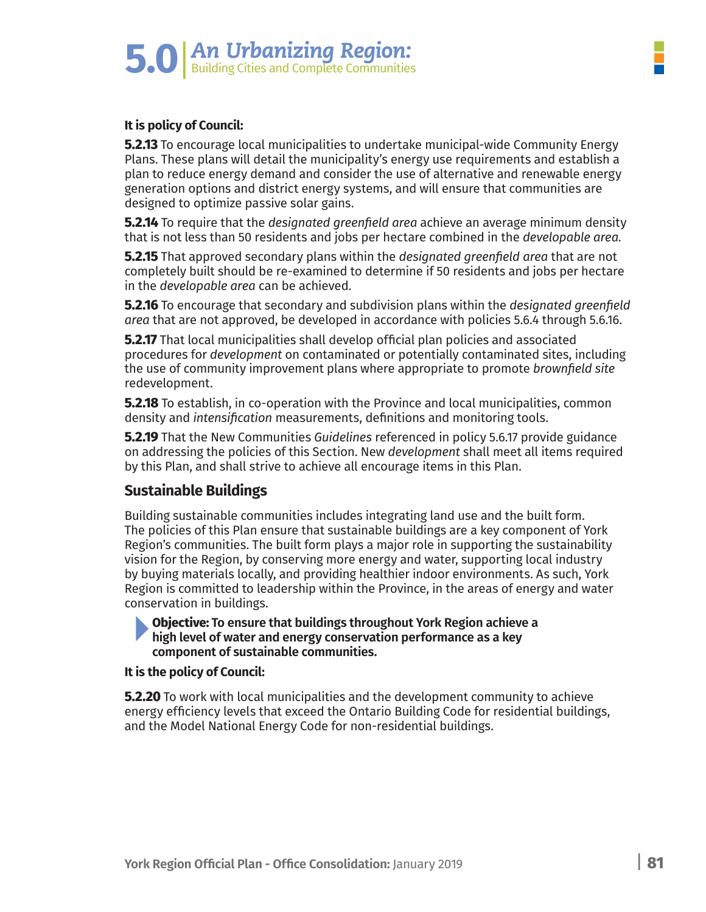

#### **It is policy of Council:**

**5.2.13** To encourage local municipalities to undertake municipal-wide Community Energy Plans. These plans will detail the municipality's energy use requirements and establish a plan to reduce energy demand and consider the use of alternative and renewable energy generation options and district energy systems, and will ensure that communities are designed to optimize passive solar gains.

**5.2.14** To require that the *designated greenfield area* achieve an average minimum density that is not less than 50 residents and jobs per hectare combined in the *developable area.*

**5.2.15** That approved secondary plans within the *designated greenfield area* that are not completely built should be re-examined to determine if 50 residents and jobs per hectare in the *developable area* can be achieved.

**5.2.16** To encourage that secondary and subdivision plans within the *designated greenfield area* that are not approved, be developed in accordance with policies 5.6.4 through 5.6.16.

**5.2.17** That local municipalities shall develop official plan policies and associated procedures for *development* on contaminated or potentially contaminated sites, including the use of community improvement plans where appropriate to promote *brownfield site* redevelopment.

**5.2.18** To establish, in co-operation with the Province and local municipalities, common density and *intensification* measurements, definitions and monitoring tools.

**5.2.19** That the New Communities *Guidelines* referenced in policy 5.6.17 provide guidance on addressing the policies of this Section. New *development* shall meet all items required by this Plan, and shall strive to achieve all encourage items in this Plan.

#### **Sustainable Buildings**

Building sustainable communities includes integrating land use and the built form. The policies of this Plan ensure that sustainable buildings are a key component of York Region's communities. The built form plays a major role in supporting the sustainability vision for the Region, by conserving more energy and water, supporting local industry by buying materials locally, and providing healthier indoor environments. As such, York Region is committed to leadership within the Province, in the areas of energy and water conservation in buildings.

**Objective: To ensure that buildings throughout York Region achieve a high level of water and energy conservation performance as a key component of sustainable communities.**

#### **It is the policy of Council:**

**5.2.20** To work with local municipalities and the development community to achieve energy efficiency levels that exceed the Ontario Building Code for residential buildings, and the Model National Energy Code for non-residential buildings.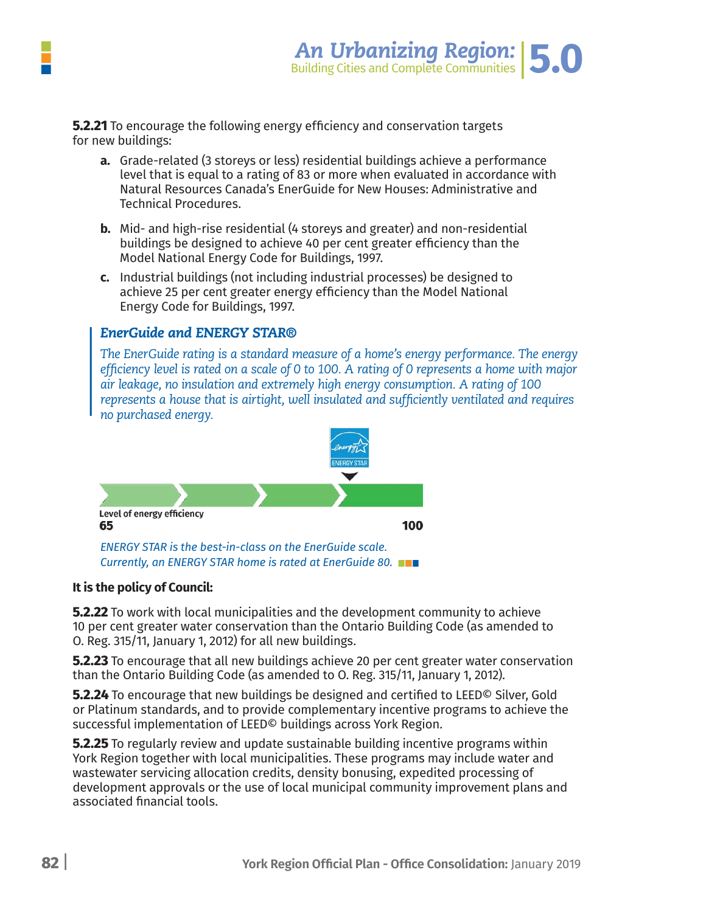

**5.2.21** To encourage the following energy efficiency and conservation targets for new buildings:

- **a.** Grade-related (3 storeys or less) residential buildings achieve a performance level that is equal to a rating of 83 or more when evaluated in accordance with Natural Resources Canada's EnerGuide for New Houses: Administrative and Technical Procedures.
- **b.** Mid- and high-rise residential (4 storeys and greater) and non-residential buildings be designed to achieve 40 per cent greater efficiency than the Model National Energy Code for Buildings, 1997.
- **c.** Industrial buildings (not including industrial processes) be designed to achieve 25 per cent greater energy efficiency than the Model National Energy Code for Buildings, 1997.

#### *EnerGuide and ENERGY STAR®*

*The EnerGuide rating is a standard measure of a home's energy performance. The energy efficiency level is rated on a scale of 0 to 100. A rating of 0 represents a home with major air leakage, no insulation and extremely high energy consumption. A rating of 100 represents a house that is airtight, well insulated and sufficiently ventilated and requires no purchased energy.* 



#### **It is the policy of Council:**

**5.2.22** To work with local municipalities and the development community to achieve 10 per cent greater water conservation than the Ontario Building Code (as amended to O. Reg. 315/11, January 1, 2012) for all new buildings.

**5.2.23** To encourage that all new buildings achieve 20 per cent greater water conservation than the Ontario Building Code (as amended to O. Reg. 315/11, January 1, 2012).

**5.2.24** To encourage that new buildings be designed and certified to LEED© Silver, Gold or Platinum standards, and to provide complementary incentive programs to achieve the successful implementation of LEED© buildings across York Region.

**5.2.25** To regularly review and update sustainable building incentive programs within York Region together with local municipalities. These programs may include water and wastewater servicing allocation credits, density bonusing, expedited processing of development approvals or the use of local municipal community improvement plans and associated financial tools.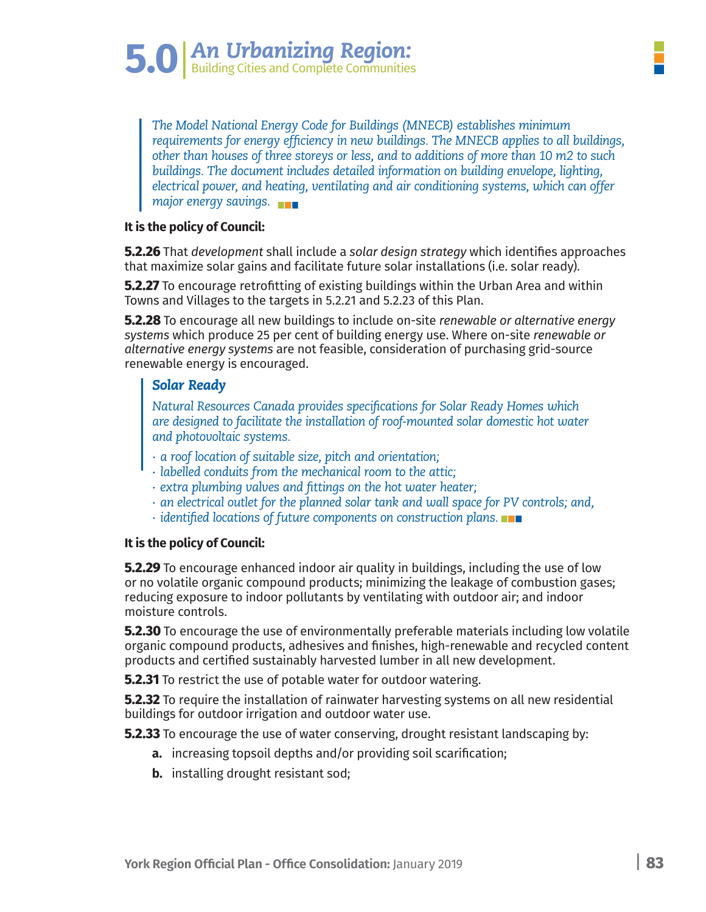*The Model National Energy Code for Buildings (MNECB) establishes minimum requirements for energy efficiency in new buildings. The MNECB applies to all buildings, other than houses of three storeys or less, and to additions of more than 10 m2 to such*  buildings. The document includes detailed information on building envelope, lighting, *electrical power, and heating, ventilating and air conditioning systems, which can offer major energy savings.*

#### **It is the policy of Council:**

**5.2.26** That *development* shall include a *solar design strategy* which identifies approaches that maximize solar gains and facilitate future solar installations (i.e. solar ready).

**5.2.27** To encourage retrofitting of existing buildings within the Urban Area and within Towns and Villages to the targets in 5.2.21 and 5.2.23 of this Plan.

**5.2.28** To encourage all new buildings to include on-site *renewable or alternative energy systems* which produce 25 per cent of building energy use. Where on-site *renewable or alternative energy systems* are not feasible, consideration of purchasing grid-source renewable energy is encouraged.

#### *Solar Ready*

*Natural Resources Canada provides specifications for Solar Ready Homes which are designed to facilitate the installation of roof-mounted solar domestic hot water and photovoltaic systems.*

- *∙ a roof location of suitable size, pitch and orientation;*
- *∙ labelled conduits from the mechanical room to the attic;*
- *∙ extra plumbing valves and fittings on the hot water heater;*
- *∙ an electrical outlet for the planned solar tank and wall space for PV controls; and,*
- *∙ identified locations of future components on construction plans.*

#### **It is the policy of Council:**

**5.2.29** To encourage enhanced indoor air quality in buildings, including the use of low or no volatile organic compound products; minimizing the leakage of combustion gases; reducing exposure to indoor pollutants by ventilating with outdoor air; and indoor moisture controls.

**5.2.30** To encourage the use of environmentally preferable materials including low volatile organic compound products, adhesives and finishes, high-renewable and recycled content products and certified sustainably harvested lumber in all new development.

**5.2.31** To restrict the use of potable water for outdoor watering.

**5.2.32** To require the installation of rainwater harvesting systems on all new residential buildings for outdoor irrigation and outdoor water use.

**5.2.33** To encourage the use of water conserving, drought resistant landscaping by:

- **a.** increasing topsoil depths and/or providing soil scarification;
- **b.** installing drought resistant sod;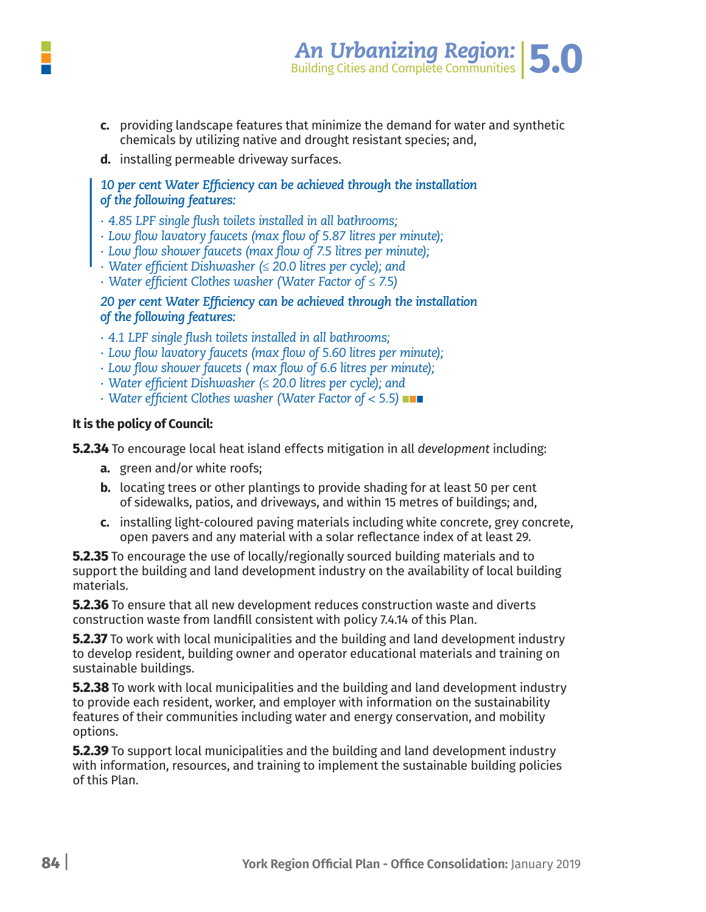

- c. providing landscape features that minimize the demand for water and synthetic chemicals by utilizing native and drought resistant species; and,
- **d.** installing permeable driveway surfaces.

#### *10 per cent Water Efficiency can be achieved through the installation of the following features:*

- *∙ 4.85 LPF single flush toilets installed in all bathrooms;*
- *∙ Low flow lavatory faucets (max flow of 5.87 litres per minute);*
- *∙ Low flow shower faucets (max flow of 7.5 litres per minute);*
- *∙ Water efficient Dishwasher (≤ 20.0 litres per cycle); and*
- *∙ Water efficient Clothes washer (Water Factor of ≤ 7.5)*

#### *20 per cent Water Efficiency can be achieved through the installation of the following features:*

- *∙ 4.1 LPF single flush toilets installed in all bathrooms;*
- *∙ Low flow lavatory faucets (max flow of 5.60 litres per minute);*
- *∙ Low flow shower faucets ( max flow of 6.6 litres per minute);*
- *∙ Water efficient Dishwasher (≤ 20.0 litres per cycle); and*
- *∙ Water efficient Clothes washer (Water Factor of < 5.5)*

#### **It is the policy of Council:**

**5.2.34** To encourage local heat island effects mitigation in all *development* including:

- **a.** green and/or white roofs;
- **b.** locating trees or other plantings to provide shading for at least 50 per cent of sidewalks, patios, and driveways, and within 15 metres of buildings; and,
- **c.** installing light-coloured paving materials including white concrete, grey concrete, open pavers and any material with a solar reflectance index of at least 29.

**5.2.35** To encourage the use of locally/regionally sourced building materials and to support the building and land development industry on the availability of local building materials.

**5.2.36** To ensure that all new development reduces construction waste and diverts construction waste from landfill consistent with policy 7.4.14 of this Plan.

**5.2.37** To work with local municipalities and the building and land development industry to develop resident, building owner and operator educational materials and training on sustainable buildings.

**5.2.38** To work with local municipalities and the building and land development industry to provide each resident, worker, and employer with information on the sustainability features of their communities including water and energy conservation, and mobility options.

**5.2.39** To support local municipalities and the building and land development industry with information, resources, and training to implement the sustainable building policies of this Plan.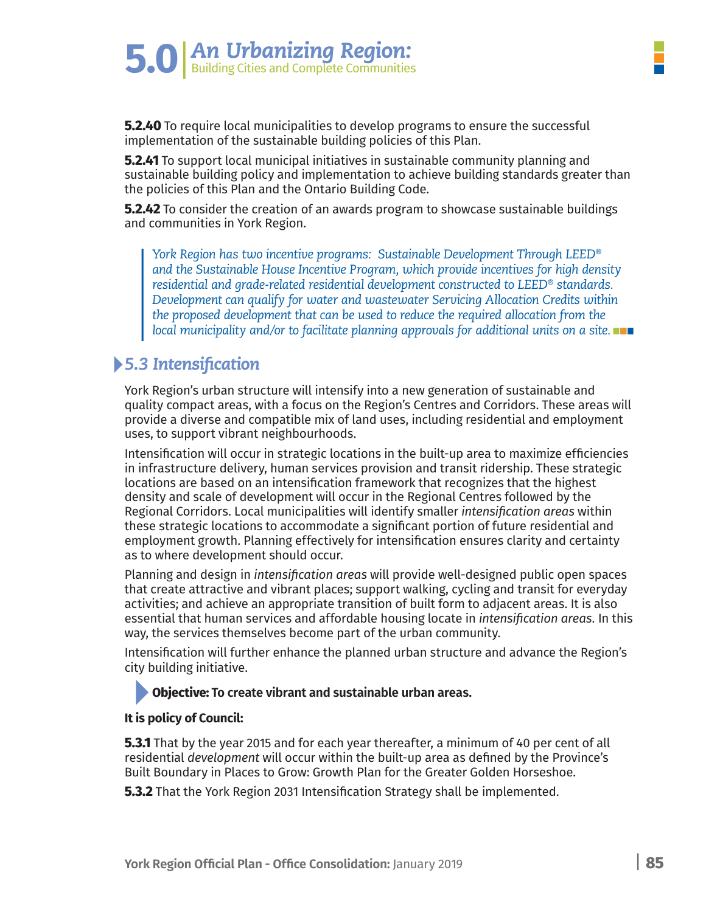**5.2.40** To require local municipalities to develop programs to ensure the successful implementation of the sustainable building policies of this Plan.

**5.2.41** To support local municipal initiatives in sustainable community planning and sustainable building policy and implementation to achieve building standards greater than the policies of this Plan and the Ontario Building Code.

**5.2.42** To consider the creation of an awards program to showcase sustainable buildings and communities in York Region.

*York Region has two incentive programs: Sustainable Development Through LEED® and the Sustainable House Incentive Program, which provide incentives for high density residential and grade-related residential development constructed to LEED® standards. Development can qualify for water and wastewater Servicing Allocation Credits within the proposed development that can be used to reduce the required allocation from the local municipality and/or to facilitate planning approvals for additional units on a site.*

# *5.3 Intensification*

York Region's urban structure will intensify into a new generation of sustainable and quality compact areas, with a focus on the Region's Centres and Corridors. These areas will provide a diverse and compatible mix of land uses, including residential and employment uses, to support vibrant neighbourhoods.

Intensification will occur in strategic locations in the built-up area to maximize efficiencies in infrastructure delivery, human services provision and transit ridership. These strategic locations are based on an intensification framework that recognizes that the highest density and scale of development will occur in the Regional Centres followed by the Regional Corridors. Local municipalities will identify smaller *intensification areas* within these strategic locations to accommodate a significant portion of future residential and employment growth. Planning effectively for intensification ensures clarity and certainty as to where development should occur.

Planning and design in *intensification areas* will provide well-designed public open spaces that create attractive and vibrant places; support walking, cycling and transit for everyday activities; and achieve an appropriate transition of built form to adjacent areas. It is also essential that human services and affordable housing locate in *intensification areas.* In this way, the services themselves become part of the urban community.

Intensification will further enhance the planned urban structure and advance the Region's city building initiative.

#### **Objective: To create vibrant and sustainable urban areas.**

#### **It is policy of Council:**

**5.3.1** That by the year 2015 and for each year thereafter, a minimum of 40 per cent of all residential *development* will occur within the built-up area as defined by the Province's Built Boundary in Places to Grow: Growth Plan for the Greater Golden Horseshoe.

**5.3.2** That the York Region 2031 Intensification Strategy shall be implemented.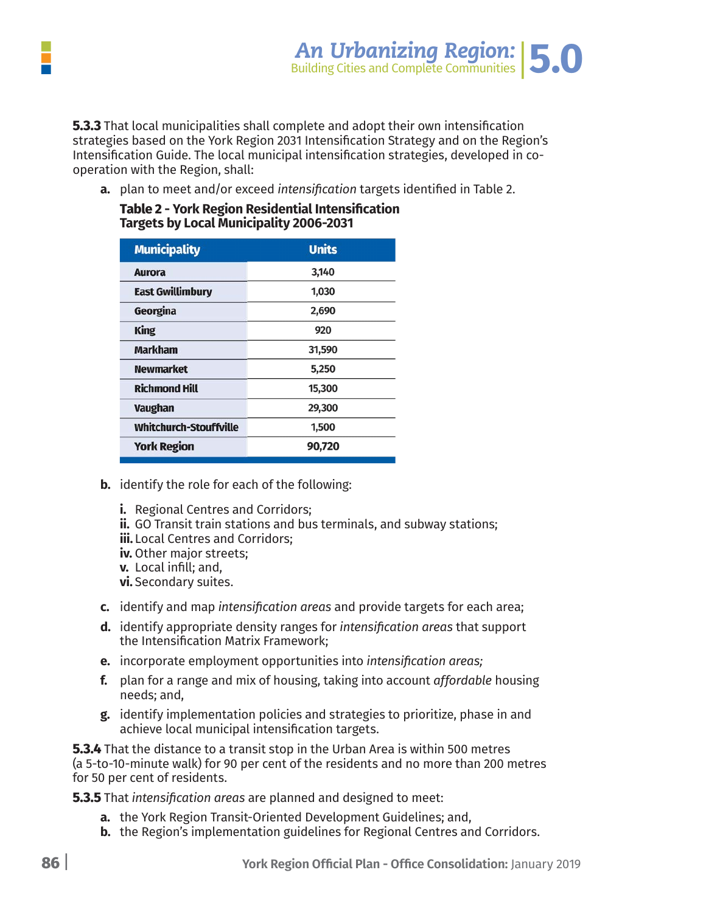

**5.3.3** That local municipalities shall complete and adopt their own intensification strategies based on the York Region 2031 Intensification Strategy and on the Region's Intensification Guide. The local municipal intensification strategies, developed in cooperation with the Region, shall:

 **a.** plan to meet and/or exceed *intensification* targets identified in Table 2.

Table 2 - York Region Residential Intensification<br>Targets by Local Municipality 2006-2031

| <b>Municipality</b>           | <b>Units</b> |  |
|-------------------------------|--------------|--|
| <b>Aurora</b>                 | 3,140        |  |
| <b>East Gwillimbury</b>       | 1,030        |  |
| Georgina                      | 2,690        |  |
| <b>King</b>                   | 920          |  |
| <b>Markham</b>                | 31,590       |  |
| <b>Newmarket</b>              | 5,250        |  |
| <b>Richmond Hill</b>          | 15,300       |  |
| <b>Vaughan</b>                | 29,300       |  |
| <b>Whitchurch-Stouffville</b> | 1,500        |  |
| <b>York Region</b>            | 90,720       |  |
|                               |              |  |

- **b.** identify the role for each of the following:
	- **i.** Regional Centres and Corridors;
	- **ii.** GO Transit train stations and bus terminals, and subway stations;
	- iii. Local Centres and Corridors;
	- iv. Other major streets:
	- v. Local infill; and,
	- vi. Secondary suites.
- c. identify and map intensification areas and provide targets for each area;
- d. identify appropriate density ranges for intensification areas that support the Intensification Matrix Framework;
- e. incorporate employment opportunities into intensification areas:
- f. plan for a range and mix of housing, taking into account affordable housing needs; and,
- g. identify implementation policies and strategies to prioritize, phase in and achieve local municipal intensification targets.

**5.3.4** That the distance to a transit stop in the Urban Area is within 500 metres (a 5-to-10-minute walk) for 90 per cent of the residents and no more than 200 metres for 50 per cent of residents.

**5.3.5** That intensification areas are planned and designed to meet:

- **a.** the York Region Transit-Oriented Development Guidelines; and,
- **b.** the Region's implementation guidelines for Regional Centres and Corridors.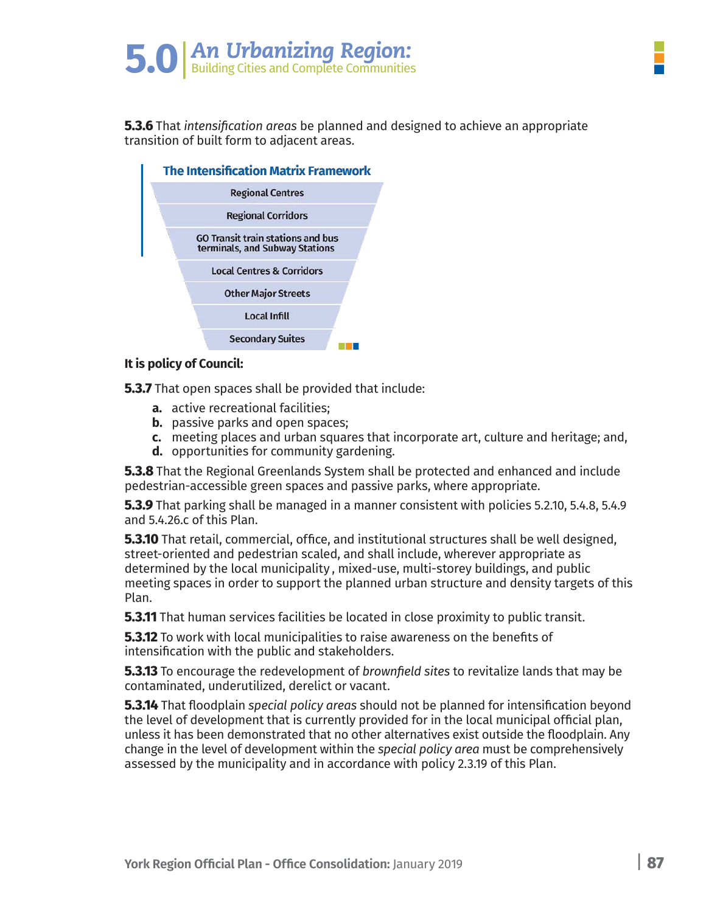# **5.0** An Urbanizing Region:

**5.3.6** That *intensification areas* be planned and designed to achieve an appropriate transition of built form to adjacent areas.



#### **It is policy of Council:**

**5.3.7** That open spaces shall be provided that include:

- **a.** active recreational facilities;
- **b.** passive parks and open spaces;
- **c.** meeting places and urban squares that incorporate art, culture and heritage; and,
- **d.** opportunities for community gardening.

**5.3.8** That the Regional Greenlands System shall be protected and enhanced and include pedestrian-accessible green spaces and passive parks, where appropriate.

**5.3.9** That parking shall be managed in a manner consistent with policies 5.2.10, 5.4.8, 5.4.9 and 5.4.26.c of this Plan.

**5.3.10** That retail, commercial, office, and institutional structures shall be well designed, street-oriented and pedestrian scaled, and shall include, wherever appropriate as determined by the local municipality , mixed-use, multi-storey buildings, and public meeting spaces in order to support the planned urban structure and density targets of this Plan.

**5.3.11** That human services facilities be located in close proximity to public transit.

**5.3.12** To work with local municipalities to raise awareness on the benefits of intensification with the public and stakeholders.

**5.3.13** To encourage the redevelopment of *brownfield sites* to revitalize lands that may be contaminated, underutilized, derelict or vacant.

**5.3.14** That floodplain *special policy areas* should not be planned for intensification beyond the level of development that is currently provided for in the local municipal official plan, unless it has been demonstrated that no other alternatives exist outside the floodplain. Any change in the level of development within the *special policy area* must be comprehensively assessed by the municipality and in accordance with policy 2.3.19 of this Plan.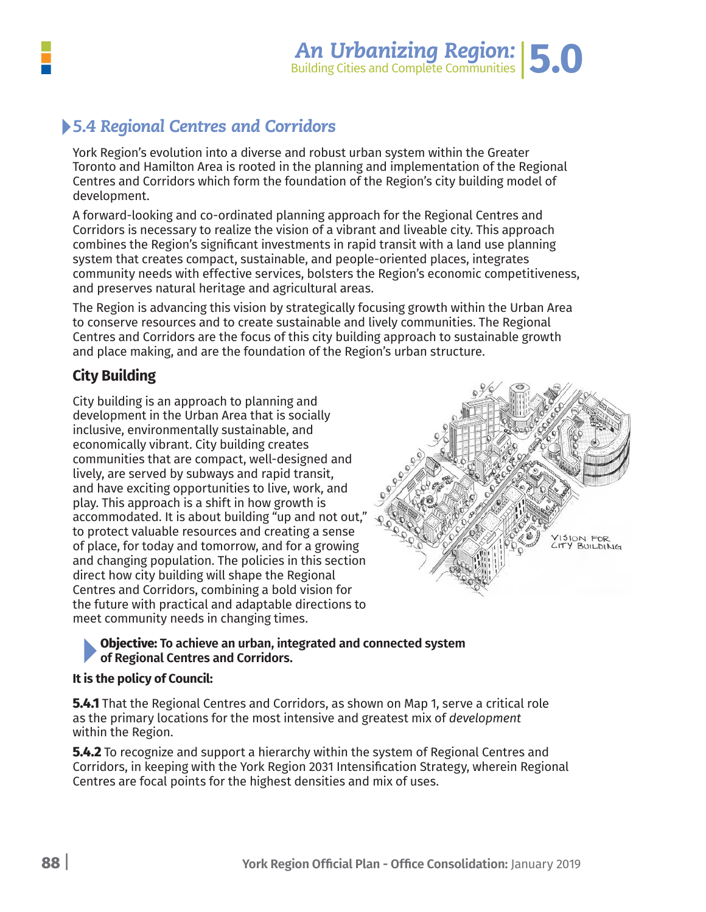

# *5.4 Regional Centres and Corridors*

York Region's evolution into a diverse and robust urban system within the Greater Toronto and Hamilton Area is rooted in the planning and implementation of the Regional Centres and Corridors which form the foundation of the Region's city building model of development.

A forward-looking and co-ordinated planning approach for the Regional Centres and Corridors is necessary to realize the vision of a vibrant and liveable city. This approach combines the Region's significant investments in rapid transit with a land use planning system that creates compact, sustainable, and people-oriented places, integrates community needs with effective services, bolsters the Region's economic competitiveness, and preserves natural heritage and agricultural areas.

The Region is advancing this vision by strategically focusing growth within the Urban Area to conserve resources and to create sustainable and lively communities. The Regional Centres and Corridors are the focus of this city building approach to sustainable growth and place making, and are the foundation of the Region's urban structure.

## **City Building**

City building is an approach to planning and development in the Urban Area that is socially inclusive, environmentally sustainable, and economically vibrant. City building creates communities that are compact, well-designed and lively, are served by subways and rapid transit, and have exciting opportunities to live, work, and play. This approach is a shift in how growth is accommodated. It is about building "up and not out," to protect valuable resources and creating a sense of place, for today and tomorrow, and for a growing and changing population. The policies in this section direct how city building will shape the Regional Centres and Corridors, combining a bold vision for the future with practical and adaptable directions to meet community needs in changing times.



#### **Objective: To achieve an urban, integrated and connected system of Regional Centres and Corridors.**

#### **It is the policy of Council:**

**5.4.1** That the Regional Centres and Corridors, as shown on Map 1, serve a critical role as the primary locations for the most intensive and greatest mix of *development* within the Region.

**5.4.2** To recognize and support a hierarchy within the system of Regional Centres and Corridors, in keeping with the York Region 2031 Intensification Strategy, wherein Regional Centres are focal points for the highest densities and mix of uses.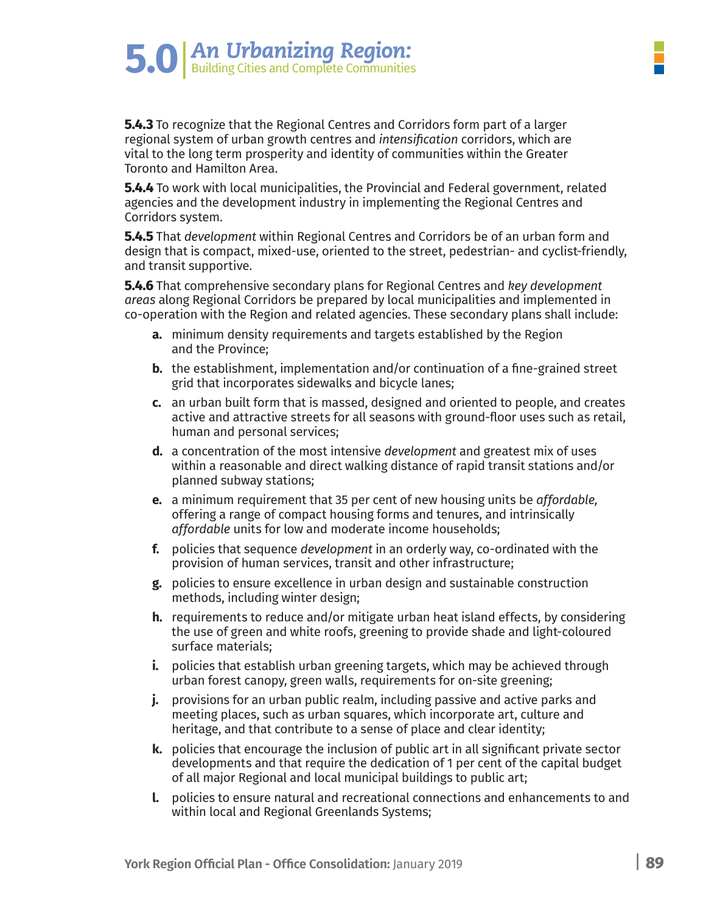**5.4.3** To recognize that the Regional Centres and Corridors form part of a larger regional system of urban growth centres and *intensification* corridors, which are vital to the long term prosperity and identity of communities within the Greater Toronto and Hamilton Area.

**5.0** An Urbanizing Region:

**5.4.4** To work with local municipalities, the Provincial and Federal government, related agencies and the development industry in implementing the Regional Centres and Corridors system.

**5.4.5** That *development* within Regional Centres and Corridors be of an urban form and design that is compact, mixed-use, oriented to the street, pedestrian- and cyclist-friendly, and transit supportive.

**5.4.6** That comprehensive secondary plans for Regional Centres and *key development areas* along Regional Corridors be prepared by local municipalities and implemented in co-operation with the Region and related agencies. These secondary plans shall include:

- **a.** minimum density requirements and targets established by the Region and the Province;
- **b.** the establishment, implementation and/or continuation of a fine-grained street grid that incorporates sidewalks and bicycle lanes;
- **c.** an urban built form that is massed, designed and oriented to people, and creates active and attractive streets for all seasons with ground-floor uses such as retail, human and personal services;
- **d.** a concentration of the most intensive *development* and greatest mix of uses within a reasonable and direct walking distance of rapid transit stations and/or planned subway stations;
- **e.** a minimum requirement that 35 per cent of new housing units be *affordable,* offering a range of compact housing forms and tenures, and intrinsically *affordable* units for low and moderate income households;
- **f.** policies that sequence *development* in an orderly way, co-ordinated with the provision of human services, transit and other infrastructure;
- **g.** policies to ensure excellence in urban design and sustainable construction methods, including winter design;
- **h.** requirements to reduce and/or mitigate urban heat island effects, by considering the use of green and white roofs, greening to provide shade and light-coloured surface materials;
- **i.** policies that establish urban greening targets, which may be achieved through urban forest canopy, green walls, requirements for on-site greening;
- **j.** provisions for an urban public realm, including passive and active parks and meeting places, such as urban squares, which incorporate art, culture and heritage, and that contribute to a sense of place and clear identity;
- **k.** policies that encourage the inclusion of public art in all significant private sector developments and that require the dedication of 1 per cent of the capital budget of all major Regional and local municipal buildings to public art;
- **l.** policies to ensure natural and recreational connections and enhancements to and within local and Regional Greenlands Systems;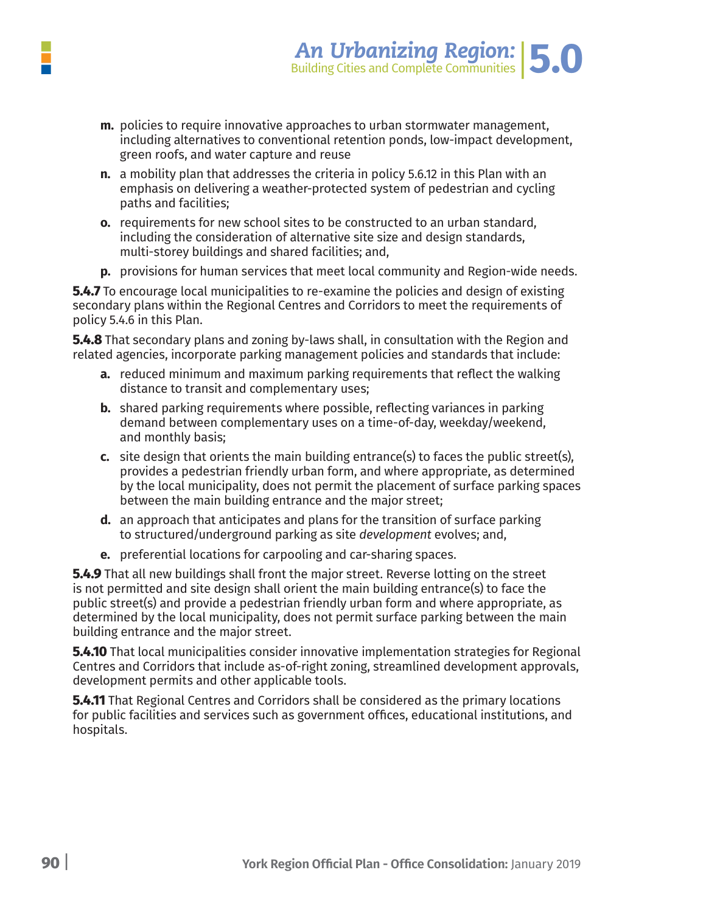

- **m.** policies to require innovative approaches to urban stormwater management, including alternatives to conventional retention ponds, low-impact development, green roofs, and water capture and reuse
- **n.** a mobility plan that addresses the criteria in policy 5.6.12 in this Plan with an emphasis on delivering a weather-protected system of pedestrian and cycling paths and facilities;
- **o.** requirements for new school sites to be constructed to an urban standard, including the consideration of alternative site size and design standards, multi-storey buildings and shared facilities; and,
- **p.** provisions for human services that meet local community and Region-wide needs.

**5.4.7** To encourage local municipalities to re-examine the policies and design of existing secondary plans within the Regional Centres and Corridors to meet the requirements of policy 5.4.6 in this Plan.

**5.4.8** That secondary plans and zoning by-laws shall, in consultation with the Region and related agencies, incorporate parking management policies and standards that include:

- **a.** reduced minimum and maximum parking requirements that reflect the walking distance to transit and complementary uses;
- **b.** shared parking requirements where possible, reflecting variances in parking demand between complementary uses on a time-of-day, weekday/weekend, and monthly basis;
- **c.** site design that orients the main building entrance(s) to faces the public street(s), provides a pedestrian friendly urban form, and where appropriate, as determined by the local municipality, does not permit the placement of surface parking spaces between the main building entrance and the major street;
- **d.** an approach that anticipates and plans for the transition of surface parking to structured/underground parking as site *development* evolves; and,
- **e.** preferential locations for carpooling and car-sharing spaces.

**5.4.9** That all new buildings shall front the major street. Reverse lotting on the street is not permitted and site design shall orient the main building entrance(s) to face the public street(s) and provide a pedestrian friendly urban form and where appropriate, as determined by the local municipality, does not permit surface parking between the main building entrance and the major street.

**5.4.10** That local municipalities consider innovative implementation strategies for Regional Centres and Corridors that include as-of-right zoning, streamlined development approvals, development permits and other applicable tools.

**5.4.11** That Regional Centres and Corridors shall be considered as the primary locations for public facilities and services such as government offices, educational institutions, and hospitals.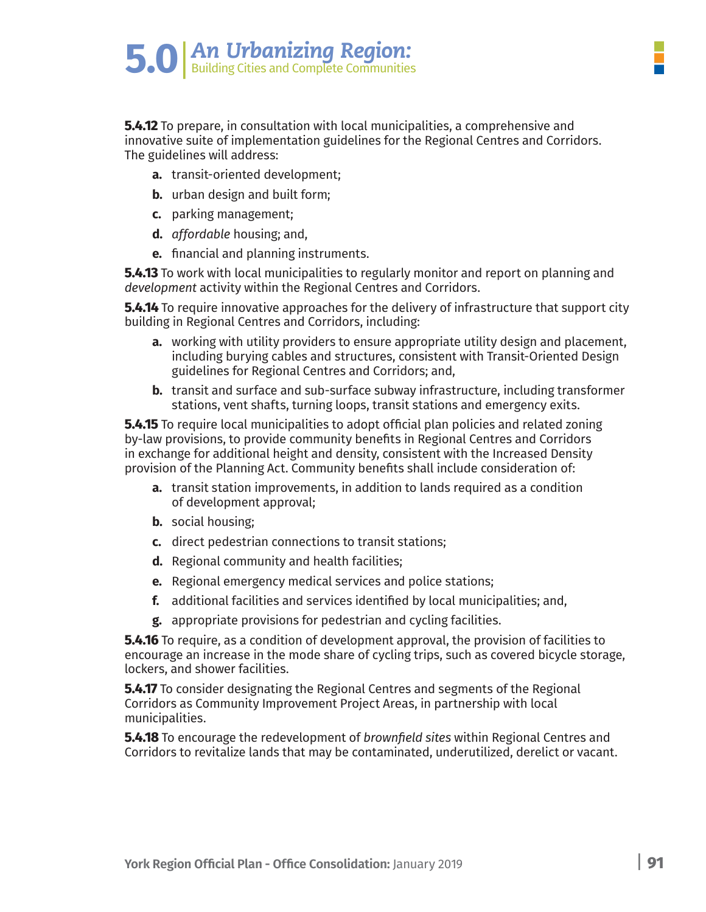**5.4.12** To prepare, in consultation with local municipalities, a comprehensive and innovative suite of implementation guidelines for the Regional Centres and Corridors. The guidelines will address:

- **a.** transit-oriented development;
- **b.** urban design and built form;
- **c.** parking management;
- **d.** *affordable* housing; and,
- **e.** financial and planning instruments.

**5.4.13** To work with local municipalities to regularly monitor and report on planning and *development* activity within the Regional Centres and Corridors.

**5.4.14** To require innovative approaches for the delivery of infrastructure that support city building in Regional Centres and Corridors, including:

- **a.** working with utility providers to ensure appropriate utility design and placement, including burying cables and structures, consistent with Transit-Oriented Design guidelines for Regional Centres and Corridors; and,
- **b.** transit and surface and sub-surface subway infrastructure, including transformer stations, vent shafts, turning loops, transit stations and emergency exits.

**5.4.15** To require local municipalities to adopt official plan policies and related zoning by-law provisions, to provide community benefits in Regional Centres and Corridors in exchange for additional height and density, consistent with the Increased Density provision of the Planning Act. Community benefits shall include consideration of:

- **a.** transit station improvements, in addition to lands required as a condition of development approval;
- **b.** social housing;
- **c.** direct pedestrian connections to transit stations;
- **d.** Regional community and health facilities;
- **e.** Regional emergency medical services and police stations;
- **f.** additional facilities and services identified by local municipalities; and,
- **g.** appropriate provisions for pedestrian and cycling facilities.

**5.4.16** To require, as a condition of development approval, the provision of facilities to encourage an increase in the mode share of cycling trips, such as covered bicycle storage, lockers, and shower facilities.

**5.4.17** To consider designating the Regional Centres and segments of the Regional Corridors as Community Improvement Project Areas, in partnership with local municipalities.

**5.4.18** To encourage the redevelopment of *brownfield sites* within Regional Centres and Corridors to revitalize lands that may be contaminated, underutilized, derelict or vacant.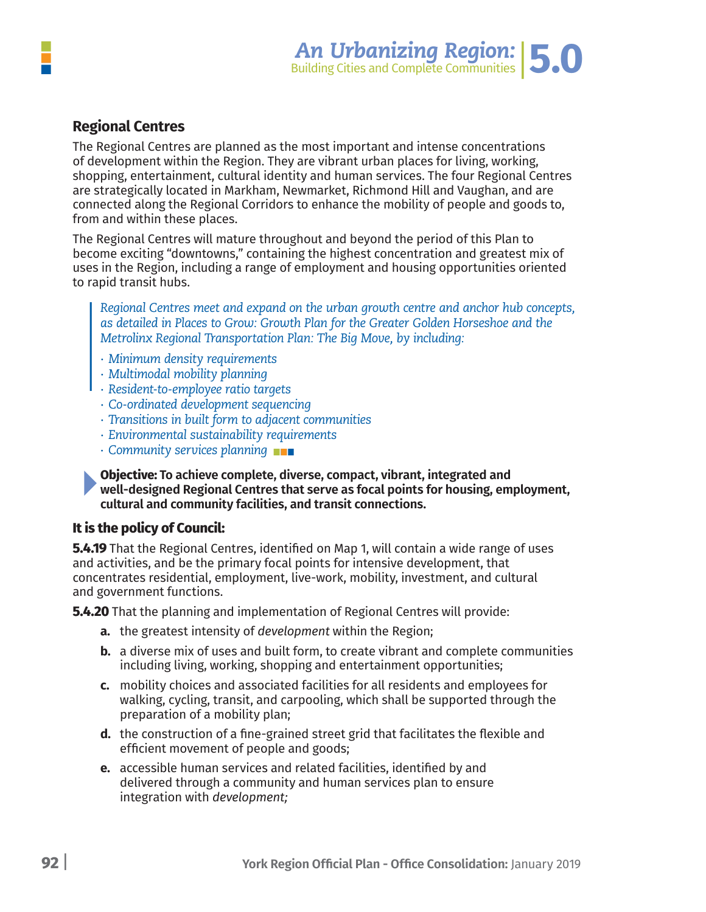

### **Regional Centres**

The Regional Centres are planned as the most important and intense concentrations of development within the Region. They are vibrant urban places for living, working, shopping, entertainment, cultural identity and human services. The four Regional Centres are strategically located in Markham, Newmarket, Richmond Hill and Vaughan, and are connected along the Regional Corridors to enhance the mobility of people and goods to, from and within these places.

The Regional Centres will mature throughout and beyond the period of this Plan to become exciting "downtowns," containing the highest concentration and greatest mix of uses in the Region, including a range of employment and housing opportunities oriented to rapid transit hubs.

*Regional Centres meet and expand on the urban growth centre and anchor hub concepts, as detailed in Places to Grow: Growth Plan for the Greater Golden Horseshoe and the Metrolinx Regional Transportation Plan: The Big Move, by including:*

- *∙ Minimum density requirements*
- *∙ Multimodal mobility planning*
- *∙ Resident-to-employee ratio targets*
- *∙ Co-ordinated development sequencing*
- *∙ Transitions in built form to adjacent communities*
- *∙ Environmental sustainability requirements*
- *∙ Community services planning*

**Objective: To achieve complete, diverse, compact, vibrant, integrated and well-designed Regional Centres that serve as focal points for housing, employment, cultural and community facilities, and transit connections.**

#### **It is the policy of Council:**

**5.4.19** That the Regional Centres, identified on Map 1, will contain a wide range of uses and activities, and be the primary focal points for intensive development, that concentrates residential, employment, live-work, mobility, investment, and cultural and government functions.

**5.4.20** That the planning and implementation of Regional Centres will provide:

- **a.** the greatest intensity of *development* within the Region;
- **b.** a diverse mix of uses and built form, to create vibrant and complete communities including living, working, shopping and entertainment opportunities;
- **c.** mobility choices and associated facilities for all residents and employees for walking, cycling, transit, and carpooling, which shall be supported through the preparation of a mobility plan;
- **d.** the construction of a fine-grained street grid that facilitates the flexible and efficient movement of people and goods;
- **e.** accessible human services and related facilities, identified by and delivered through a community and human services plan to ensure integration with *development;*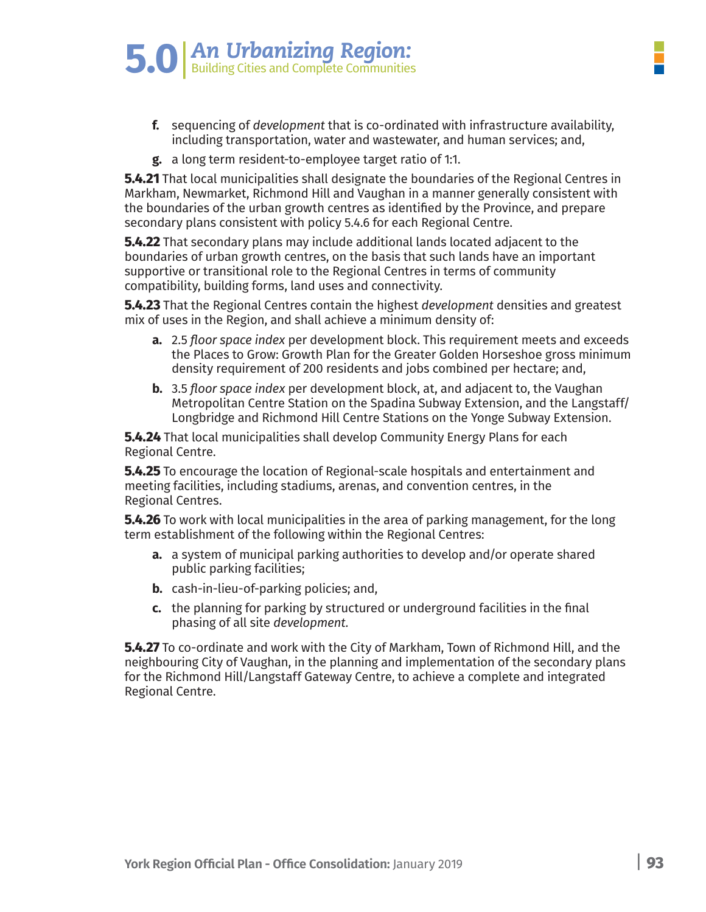# **5.0** An Urbanizing Region:

- **f.** sequencing of *development* that is co-ordinated with infrastructure availability, including transportation, water and wastewater, and human services; and,
- **g.** a long term resident-to-employee target ratio of 1:1.

**5.4.21** That local municipalities shall designate the boundaries of the Regional Centres in Markham, Newmarket, Richmond Hill and Vaughan in a manner generally consistent with the boundaries of the urban growth centres as identified by the Province, and prepare secondary plans consistent with policy 5.4.6 for each Regional Centre.

**5.4.22** That secondary plans may include additional lands located adjacent to the boundaries of urban growth centres, on the basis that such lands have an important supportive or transitional role to the Regional Centres in terms of community compatibility, building forms, land uses and connectivity.

**5.4.23** That the Regional Centres contain the highest *development* densities and greatest mix of uses in the Region, and shall achieve a minimum density of:

- **a.** 2.5 *floor space index* per development block. This requirement meets and exceeds the Places to Grow: Growth Plan for the Greater Golden Horseshoe gross minimum density requirement of 200 residents and jobs combined per hectare; and,
- **b.** 3.5 *floor space index* per development block, at, and adjacent to, the Vaughan Metropolitan Centre Station on the Spadina Subway Extension, and the Langstaff/ Longbridge and Richmond Hill Centre Stations on the Yonge Subway Extension.

**5.4.24** That local municipalities shall develop Community Energy Plans for each Regional Centre.

**5.4.25** To encourage the location of Regional-scale hospitals and entertainment and meeting facilities, including stadiums, arenas, and convention centres, in the Regional Centres.

**5.4.26** To work with local municipalities in the area of parking management, for the long term establishment of the following within the Regional Centres:

- **a.** a system of municipal parking authorities to develop and/or operate shared public parking facilities;
- **b.** cash-in-lieu-of-parking policies; and,
- **c.** the planning for parking by structured or underground facilities in the final phasing of all site *development.*

**5.4.27** To co-ordinate and work with the City of Markham, Town of Richmond Hill, and the neighbouring City of Vaughan, in the planning and implementation of the secondary plans for the Richmond Hill/Langstaff Gateway Centre, to achieve a complete and integrated Regional Centre.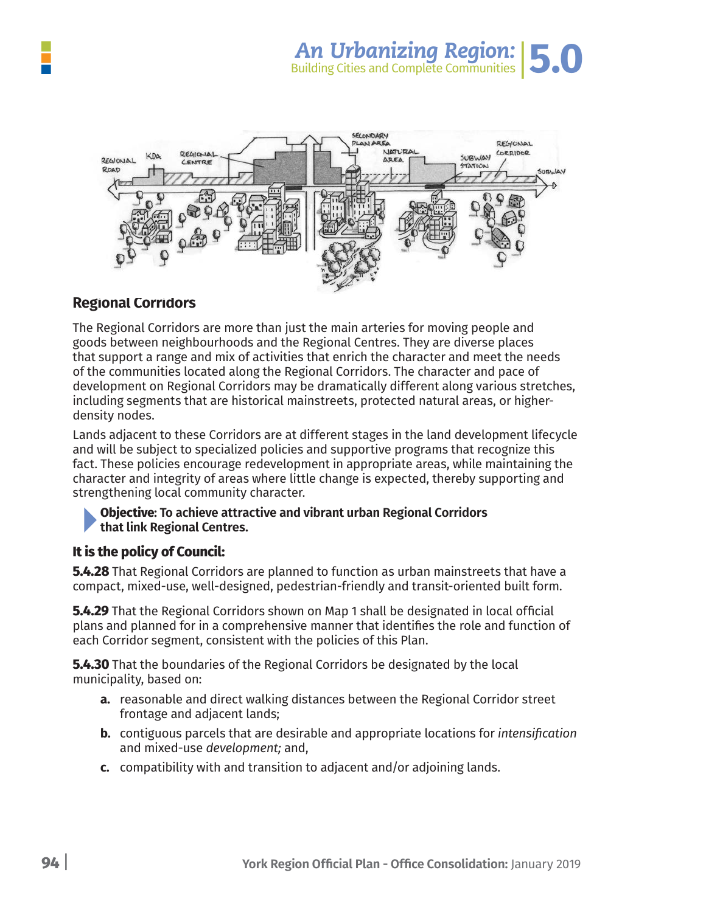

#### **Regional Corridors**

The Regional Corridors are more than just the main arteries for moving people and goods between neighbourhoods and the Regional Centres. They are diverse places that support a range and mix of activities that enrich the character and meet the needs of the communities located along the Regional Corridors. The character and pace of development on Regional Corridors may be dramatically different along various stretches, including segments that are historical mainstreets, protected natural areas, or higherdensity nodes.

Lands adjacent to these Corridors are at different stages in the land development lifecycle and will be subject to specialized policies and supportive programs that recognize this fact. These policies encourage redevelopment in appropriate areas, while maintaining the character and integrity of areas where little change is expected, thereby supporting and strengthening local community character.

#### **Objective: To achieve attractive and vibrant urban Regional Corridors that link Regional Centres.**

#### **It is the policy of Council:**

**5.4.28** That Regional Corridors are planned to function as urban mainstreets that have a compact, mixed-use, well-designed, pedestrian-friendly and transit-oriented built form.

**5.4.29** That the Regional Corridors shown on Map 1 shall be designated in local official plans and planned for in a comprehensive manner that identifies the role and function of each Corridor segment, consistent with the policies of this Plan.

**5.4.30** That the boundaries of the Regional Corridors be designated by the local municipality, based on:

- **a.** reasonable and direct walking distances between the Regional Corridor street frontage and adjacent lands;
- **b.** contiguous parcels that are desirable and appropriate locations for *intensification* and mixed-use *development;* and,
- **c.** compatibility with and transition to adjacent and/or adjoining lands.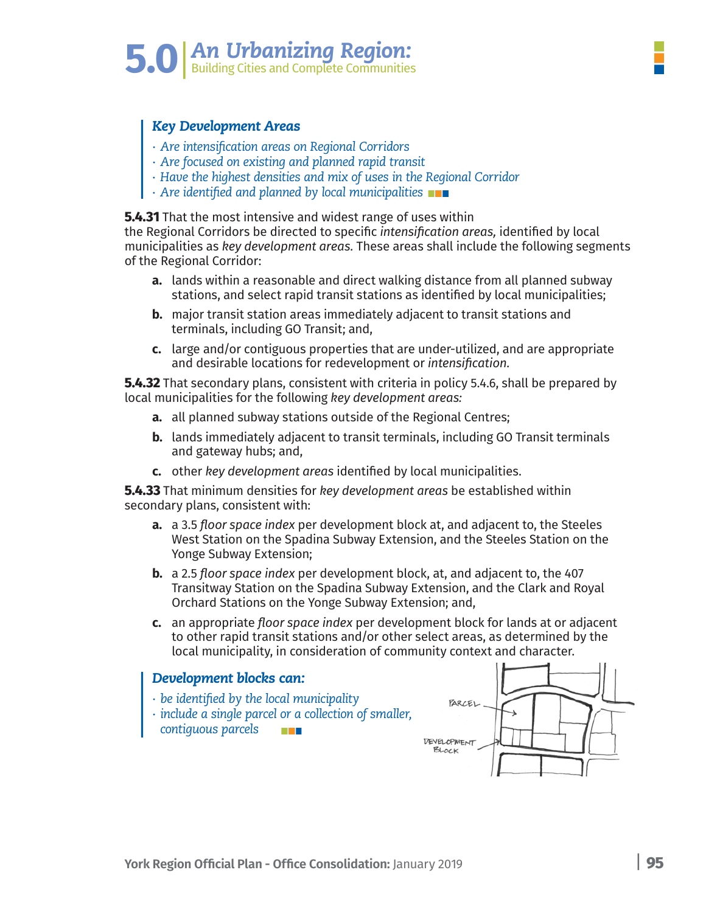#### *Key Development Areas*

- *∙ Are intensification areas on Regional Corridors*
- *∙ Are focused on existing and planned rapid transit*
- *∙ Have the highest densities and mix of uses in the Regional Corridor*
- *∙ Are identified and planned by local municipalities*

#### **5.4.31** That the most intensive and widest range of uses within

the Regional Corridors be directed to specific *intensification areas,* identified by local municipalities as *key development areas.* These areas shall include the following segments of the Regional Corridor:

- **a.** lands within a reasonable and direct walking distance from all planned subway stations, and select rapid transit stations as identified by local municipalities;
- **b.** major transit station areas immediately adjacent to transit stations and terminals, including GO Transit; and,
- **c.** large and/or contiguous properties that are under-utilized, and are appropriate and desirable locations for redevelopment or *intensification.*

**5.4.32** That secondary plans, consistent with criteria in policy 5.4.6, shall be prepared by local municipalities for the following *key development areas:*

- **a.** all planned subway stations outside of the Regional Centres;
- **b.** lands immediately adjacent to transit terminals, including GO Transit terminals and gateway hubs; and,
- **c.** other *key development areas* identified by local municipalities.

**5.4.33** That minimum densities for *key development areas* be established within secondary plans, consistent with:

- **a.** a 3.5 *floor space index* per development block at, and adjacent to, the Steeles West Station on the Spadina Subway Extension, and the Steeles Station on the Yonge Subway Extension;
- **b.** a 2.5 *floor space index* per development block, at, and adjacent to, the 407 Transitway Station on the Spadina Subway Extension, and the Clark and Royal Orchard Stations on the Yonge Subway Extension; and,
- **c.** an appropriate *floor space index* per development block for lands at or adjacent to other rapid transit stations and/or other select areas, as determined by the local municipality, in consideration of community context and character.

#### *Development blocks can:*

- *∙ be identified by the local municipality*
- *∙ include a single parcel or a collection of smaller, contiguous parcels*

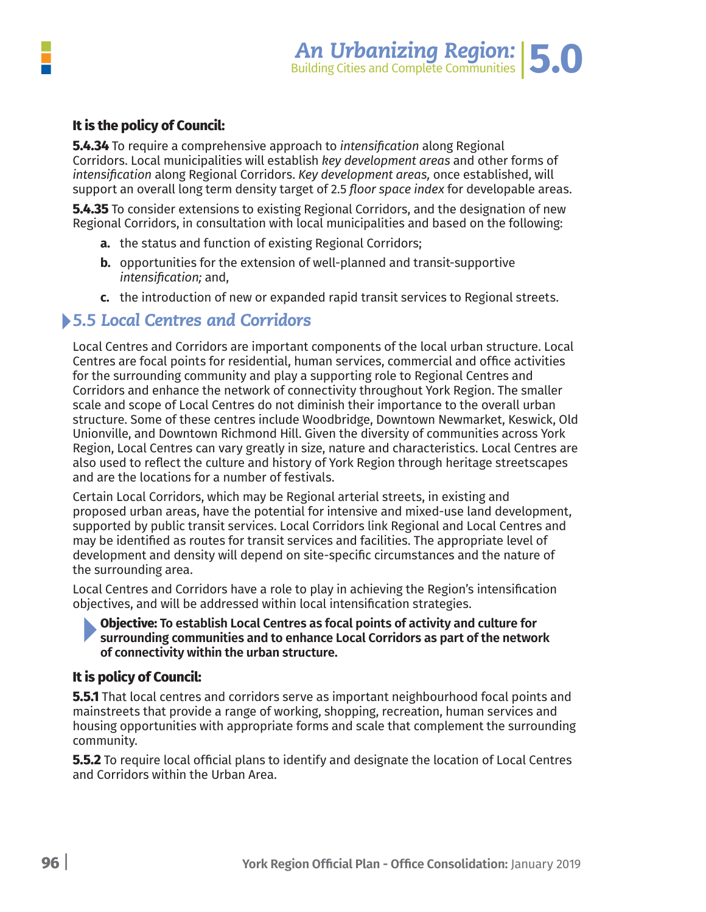

#### **It is the policy of Council:**

**5.4.34** To require a comprehensive approach to *intensification* along Regional Corridors. Local municipalities will establish *key development areas* and other forms of *intensification* along Regional Corridors. *Key development areas,* once established, will support an overall long term density target of 2.5 *floor space index* for developable areas.

**5.4.35** To consider extensions to existing Regional Corridors, and the designation of new Regional Corridors, in consultation with local municipalities and based on the following:

- **a.** the status and function of existing Regional Corridors;
- **b.** opportunities for the extension of well-planned and transit-supportive *intensification;* and,
- **c.** the introduction of new or expanded rapid transit services to Regional streets.

### *5.5 Local Centres and Corridors*

Local Centres and Corridors are important components of the local urban structure. Local Centres are focal points for residential, human services, commercial and office activities for the surrounding community and play a supporting role to Regional Centres and Corridors and enhance the network of connectivity throughout York Region. The smaller scale and scope of Local Centres do not diminish their importance to the overall urban structure. Some of these centres include Woodbridge, Downtown Newmarket, Keswick, Old Unionville, and Downtown Richmond Hill. Given the diversity of communities across York Region, Local Centres can vary greatly in size, nature and characteristics. Local Centres are also used to reflect the culture and history of York Region through heritage streetscapes and are the locations for a number of festivals.

Certain Local Corridors, which may be Regional arterial streets, in existing and proposed urban areas, have the potential for intensive and mixed-use land development, supported by public transit services. Local Corridors link Regional and Local Centres and may be identified as routes for transit services and facilities. The appropriate level of development and density will depend on site-specific circumstances and the nature of the surrounding area.

Local Centres and Corridors have a role to play in achieving the Region's intensification objectives, and will be addressed within local intensification strategies.

#### **Objective: To establish Local Centres as focal points of activity and culture for surrounding communities and to enhance Local Corridors as part of the network of connectivity within the urban structure.**

#### **It is policy of Council:**

**5.5.1** That local centres and corridors serve as important neighbourhood focal points and mainstreets that provide a range of working, shopping, recreation, human services and housing opportunities with appropriate forms and scale that complement the surrounding community.

**5.5.2** To require local official plans to identify and designate the location of Local Centres and Corridors within the Urban Area.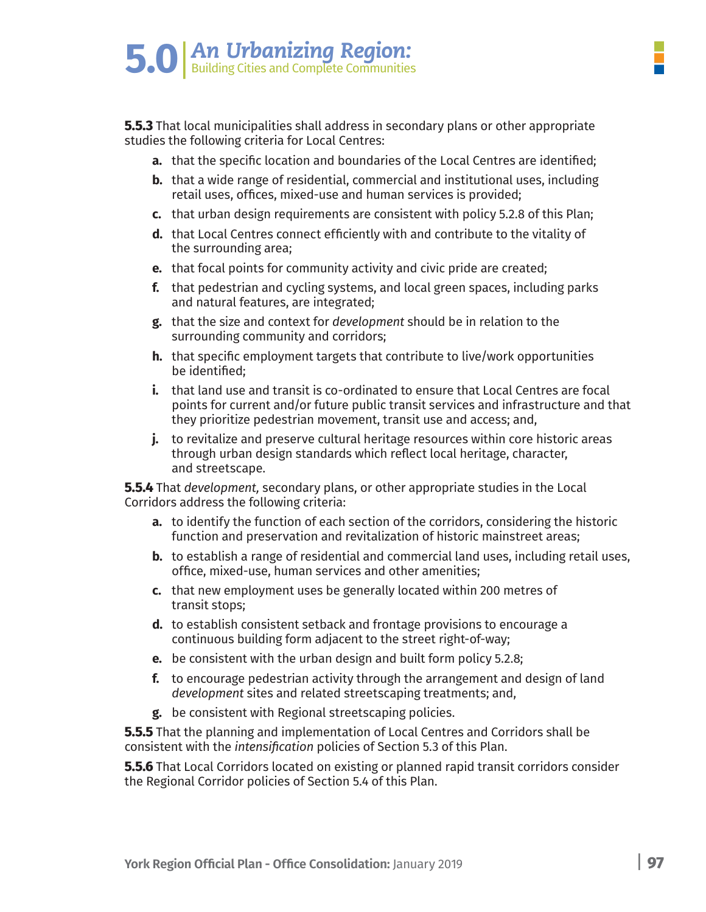**5.5.3** That local municipalities shall address in secondary plans or other appropriate studies the following criteria for Local Centres:

- **a.** that the specific location and boundaries of the Local Centres are identified;
- **b.** that a wide range of residential, commercial and institutional uses, including retail uses, offices, mixed-use and human services is provided;
- **c.** that urban design requirements are consistent with policy 5.2.8 of this Plan;
- **d.** that Local Centres connect efficiently with and contribute to the vitality of the surrounding area;
- **e.** that focal points for community activity and civic pride are created;
- **f.** that pedestrian and cycling systems, and local green spaces, including parks and natural features, are integrated;
- **g.** that the size and context for *development* should be in relation to the surrounding community and corridors;
- **h.** that specific employment targets that contribute to live/work opportunities be identified;
- **i.** that land use and transit is co-ordinated to ensure that Local Centres are focal points for current and/or future public transit services and infrastructure and that they prioritize pedestrian movement, transit use and access; and,
- **j.** to revitalize and preserve cultural heritage resources within core historic areas through urban design standards which reflect local heritage, character, and streetscape.

**5.5.4** That *development,* secondary plans, or other appropriate studies in the Local Corridors address the following criteria:

- **a.** to identify the function of each section of the corridors, considering the historic function and preservation and revitalization of historic mainstreet areas;
- **b.** to establish a range of residential and commercial land uses, including retail uses, office, mixed-use, human services and other amenities;
- **c.** that new employment uses be generally located within 200 metres of transit stops;
- **d.** to establish consistent setback and frontage provisions to encourage a continuous building form adjacent to the street right-of-way;
- **e.** be consistent with the urban design and built form policy 5.2.8;
- **f.** to encourage pedestrian activity through the arrangement and design of land *development* sites and related streetscaping treatments; and,
- **g.** be consistent with Regional streetscaping policies.

**5.5.5** That the planning and implementation of Local Centres and Corridors shall be consistent with the *intensification* policies of Section 5.3 of this Plan.

**5.5.6** That Local Corridors located on existing or planned rapid transit corridors consider the Regional Corridor policies of Section 5.4 of this Plan.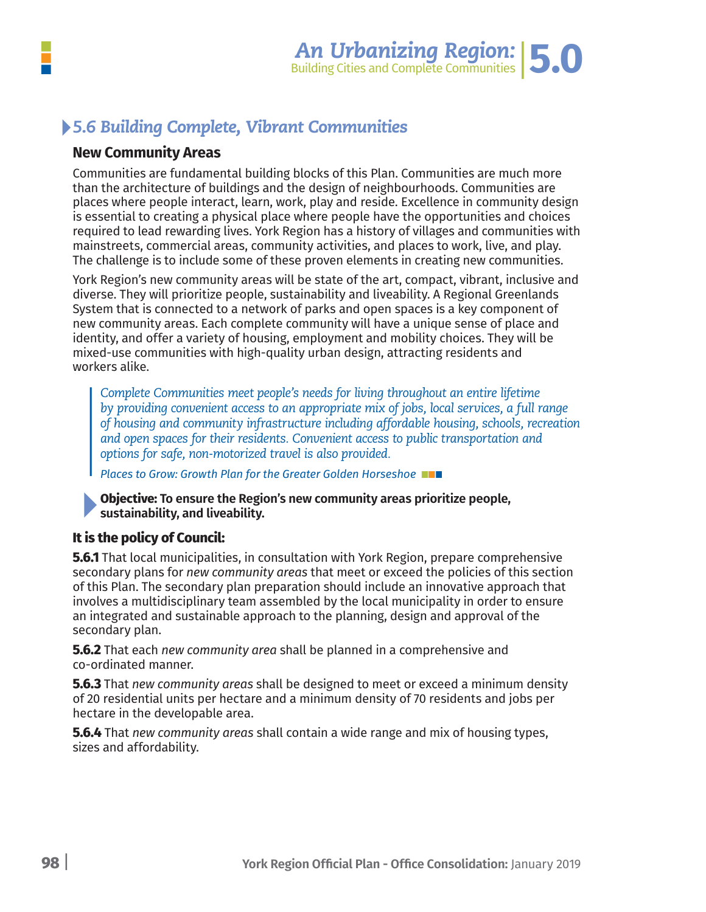# *5.6 Building Complete, Vibrant Communities*

#### **New Community Areas**

Communities are fundamental building blocks of this Plan. Communities are much more than the architecture of buildings and the design of neighbourhoods. Communities are places where people interact, learn, work, play and reside. Excellence in community design is essential to creating a physical place where people have the opportunities and choices required to lead rewarding lives. York Region has a history of villages and communities with mainstreets, commercial areas, community activities, and places to work, live, and play. The challenge is to include some of these proven elements in creating new communities.

York Region's new community areas will be state of the art, compact, vibrant, inclusive and diverse. They will prioritize people, sustainability and liveability. A Regional Greenlands System that is connected to a network of parks and open spaces is a key component of new community areas. Each complete community will have a unique sense of place and identity, and offer a variety of housing, employment and mobility choices. They will be mixed-use communities with high-quality urban design, attracting residents and workers alike.

*Complete Communities meet people's needs for living throughout an entire lifetime by providing convenient access to an appropriate mix of jobs, local services, a full range of housing and community infrastructure including affordable housing, schools, recreation and open spaces for their residents. Convenient access to public transportation and options for safe, non-motorized travel is also provided.*

*Places to Grow: Growth Plan for the Greater Golden Horseshoe*

**Objective: To ensure the Region's new community areas prioritize people, sustainability, and liveability.**

#### **It is the policy of Council:**

**5.6.1** That local municipalities, in consultation with York Region, prepare comprehensive secondary plans for *new community areas* that meet or exceed the policies of this section of this Plan. The secondary plan preparation should include an innovative approach that involves a multidisciplinary team assembled by the local municipality in order to ensure an integrated and sustainable approach to the planning, design and approval of the secondary plan.

**5.6.2** That each *new community area* shall be planned in a comprehensive and co-ordinated manner.

**5.6.3** That *new community areas* shall be designed to meet or exceed a minimum density of 20 residential units per hectare and a minimum density of 70 residents and jobs per hectare in the developable area.

**5.6.4** That *new community areas* shall contain a wide range and mix of housing types, sizes and affordability.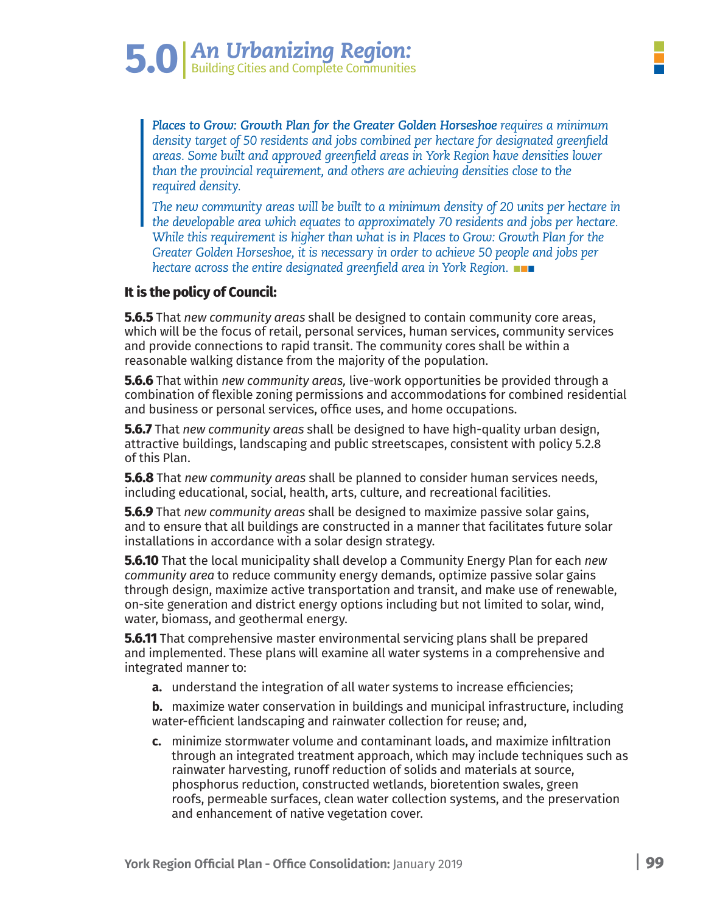*Places to Grow: Growth Plan for the Greater Golden Horseshoe requires a minimum density target of 50 residents and jobs combined per hectare for designated greenfield areas. Some built and approved greenfield areas in York Region have densities lower than the provincial requirement, and others are achieving densities close to the required density.* 

*The new community areas will be built to a minimum density of 20 units per hectare in the developable area which equates to approximately 70 residents and jobs per hectare. While this requirement is higher than what is in Places to Grow: Growth Plan for the Greater Golden Horseshoe, it is necessary in order to achieve 50 people and jobs per hectare across the entire designated greenfield area in York Region.*

#### **It is the policy of Council:**

**5.6.5** That *new community areas* shall be designed to contain community core areas, which will be the focus of retail, personal services, human services, community services and provide connections to rapid transit. The community cores shall be within a reasonable walking distance from the majority of the population.

**5.6.6** That within *new community areas,* live-work opportunities be provided through a combination of flexible zoning permissions and accommodations for combined residential and business or personal services, office uses, and home occupations.

**5.6.7** That *new community areas* shall be designed to have high-quality urban design, attractive buildings, landscaping and public streetscapes, consistent with policy 5.2.8 of this Plan.

**5.6.8** That *new community areas* shall be planned to consider human services needs, including educational, social, health, arts, culture, and recreational facilities.

**5.6.9** That *new community areas* shall be designed to maximize passive solar gains, and to ensure that all buildings are constructed in a manner that facilitates future solar installations in accordance with a solar design strategy.

**5.6.10** That the local municipality shall develop a Community Energy Plan for each *new community area* to reduce community energy demands, optimize passive solar gains through design, maximize active transportation and transit, and make use of renewable, on-site generation and district energy options including but not limited to solar, wind, water, biomass, and geothermal energy.

**5.6.11** That comprehensive master environmental servicing plans shall be prepared and implemented. These plans will examine all water systems in a comprehensive and integrated manner to:

**a.** understand the integration of all water systems to increase efficiencies;

 **b.** maximize water conservation in buildings and municipal infrastructure, including water-efficient landscaping and rainwater collection for reuse; and,

 **c.** minimize stormwater volume and contaminant loads, and maximize infiltration through an integrated treatment approach, which may include techniques such as rainwater harvesting, runoff reduction of solids and materials at source, phosphorus reduction, constructed wetlands, bioretention swales, green roofs, permeable surfaces, clean water collection systems, and the preservation and enhancement of native vegetation cover.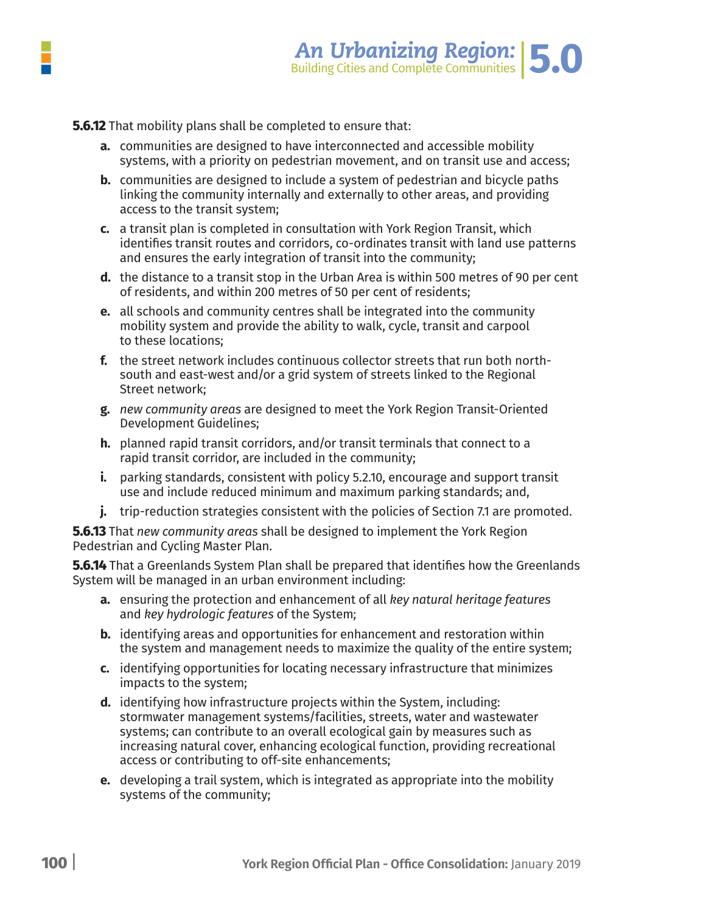

**5.6.12** That mobility plans shall be completed to ensure that:

- **a.** communities are designed to have interconnected and accessible mobility systems, with a priority on pedestrian movement, and on transit use and access;
- **b.** communities are designed to include a system of pedestrian and bicycle paths linking the community internally and externally to other areas, and providing access to the transit system;
- **c.** a transit plan is completed in consultation with York Region Transit, which identifies transit routes and corridors, co-ordinates transit with land use patterns and ensures the early integration of transit into the community;
- **d.** the distance to a transit stop in the Urban Area is within 500 metres of 90 per cent of residents, and within 200 metres of 50 per cent of residents;
- **e.** all schools and community centres shall be integrated into the community mobility system and provide the ability to walk, cycle, transit and carpool to these locations;
- **f.** the street network includes continuous collector streets that run both north south and east-west and/or a grid system of streets linked to the Regional Street network;
- **g.** *new community areas* are designed to meet the York Region Transit-Oriented Development Guidelines;
- **h.** planned rapid transit corridors, and/or transit terminals that connect to a rapid transit corridor, are included in the community;
- **i.** parking standards, consistent with policy 5.2.10, encourage and support transit use and include reduced minimum and maximum parking standards; and,
- **j.** trip-reduction strategies consistent with the policies of Section 7.1 are promoted.

**5.6.13** That *new community areas* shall be designed to implement the York Region Pedestrian and Cycling Master Plan.

**5.6.14** That a Greenlands System Plan shall be prepared that identifies how the Greenlands System will be managed in an urban environment including:

- **a.** ensuring the protection and enhancement of all *key natural heritage features* and *key hydrologic features* of the System;
- **b.** identifying areas and opportunities for enhancement and restoration within the system and management needs to maximize the quality of the entire system;
- **c.** identifying opportunities for locating necessary infrastructure that minimizes impacts to the system;
- **d.** identifying how infrastructure projects within the System, including: stormwater management systems/facilities, streets, water and wastewater systems; can contribute to an overall ecological gain by measures such as increasing natural cover, enhancing ecological function, providing recreational access or contributing to off-site enhancements;
- **e.** developing a trail system, which is integrated as appropriate into the mobility systems of the community;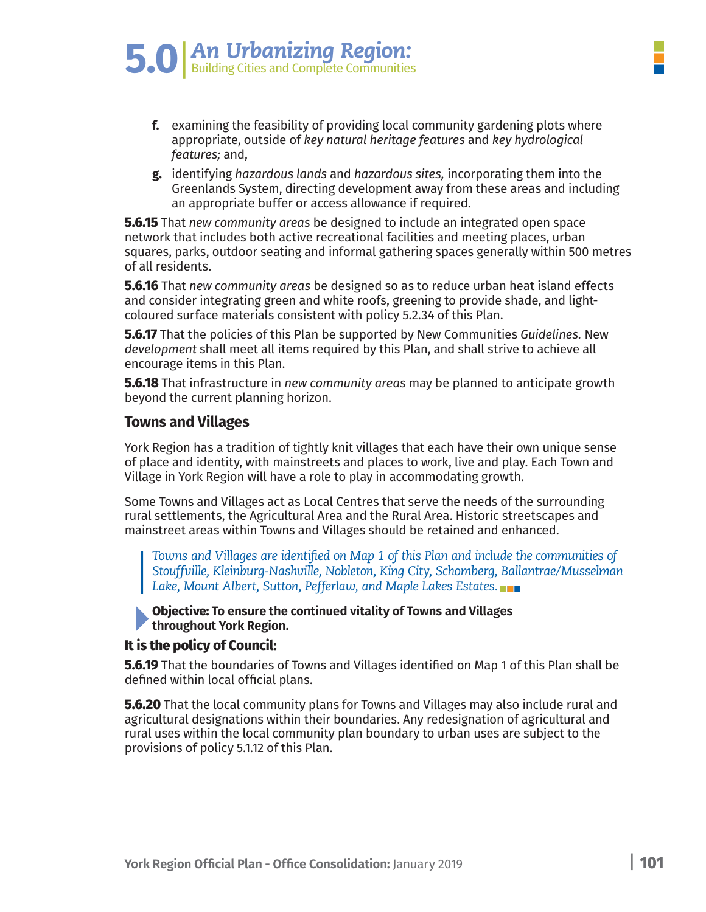- 
- **f.** examining the feasibility of providing local community gardening plots where appropriate, outside of key natural heritage features and key hydrological features: and.
- **g.** identifying hazardous lands and hazardous sites, incorporating them into the Greenlands System, directing development away from these areas and including an appropriate buffer or access allowance if required.

**5.6.15** That *new community areas* be designed to include an integrated open space network that includes both active recreational facilities and meeting places, urban squares, parks, outdoor seating and informal gathering spaces generally within 500 metres of all residents.

**5.6.16** That new community areas be designed so as to reduce urban heat island effects and consider integrating green and white roofs, greening to provide shade, and lightcoloured surface materials consistent with policy 5.2.34 of this Plan.

**5.6.17** That the policies of this Plan be supported by New Communities Guidelines. New development shall meet all items required by this Plan, and shall strive to achieve all encourage items in this Plan.

**5.6.18** That infrastructure in new community areas may be planned to anticipate growth beyond the current planning horizon.

#### **Towns and Villages**

York Region has a tradition of tightly knit villages that each have their own unique sense of place and identity, with mainstreets and places to work, live and play. Each Town and Village in York Region will have a role to play in accommodating growth.

Some Towns and Villages act as Local Centres that serve the needs of the surrounding rural settlements, the Agricultural Area and the Rural Area. Historic streetscapes and mainstreet areas within Towns and Villages should be retained and enhanced.

*Towns and Villages are identified on Map 1 of this Plan and include the communities of Stouffville, Kleinburg-Nashville, Nobleton, King City, Schomberg, Ballantrae/Musselman Lake, Mount Albert, Sutton, Pefferlaw, and Maple Lakes Estates.*

**Objective: To ensure the continued vitality of Towns and Villages throughout York Region.**

#### **It is the policy of Council:**

**5.6.19** That the boundaries of Towns and Villages identified on Map 1 of this Plan shall be defined within local official plans.

**5.6.20** That the local community plans for Towns and Villages may also include rural and agricultural designations within their boundaries. Any redesignation of agricultural and rural uses within the local community plan boundary to urban uses are subject to the provisions of policy 5.1.12 of this Plan.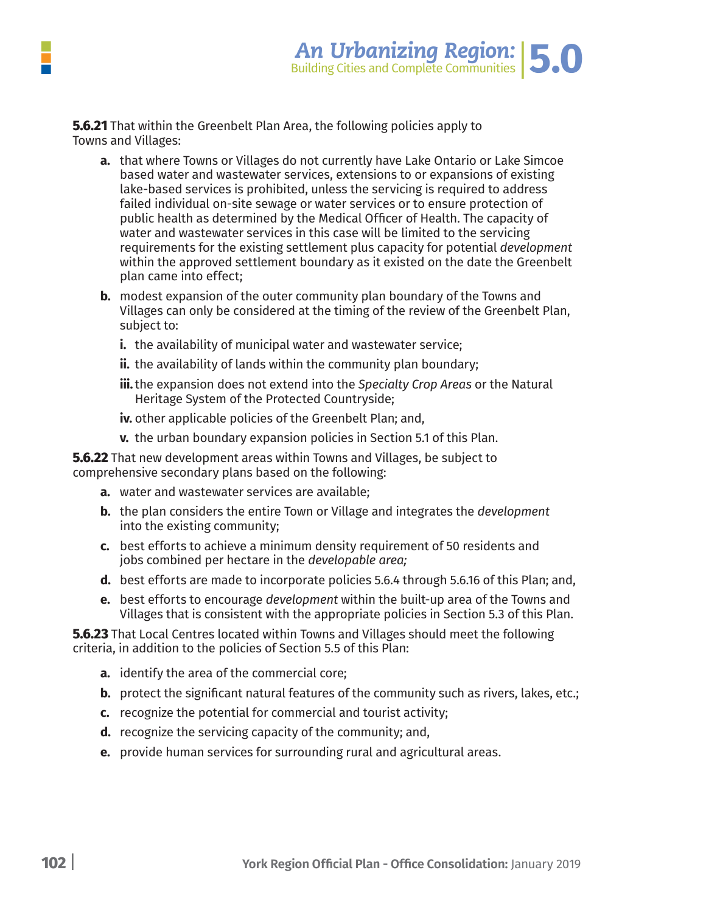**5.6.21** That within the Greenbelt Plan Area, the following policies apply to Towns and Villages:

- **a.** that where Towns or Villages do not currently have Lake Ontario or Lake Simcoe based water and wastewater services, extensions to or expansions of existing lake-based services is prohibited, unless the servicing is required to address failed individual on-site sewage or water services or to ensure protection of public health as determined by the Medical Officer of Health. The capacity of water and wastewater services in this case will be limited to the servicing requirements for the existing settlement plus capacity for potential *development* within the approved settlement boundary as it existed on the date the Greenbelt plan came into effect;
- **b.** modest expansion of the outer community plan boundary of the Towns and Villages can only be considered at the timing of the review of the Greenbelt Plan, subject to:
	- **i.** the availability of municipal water and wastewater service;
	- **ii.** the availability of lands within the community plan boundary;
	- **iii.**the expansion does not extend into the *Specialty Crop Areas* or the Natural Heritage System of the Protected Countryside;
	- **iv.** other applicable policies of the Greenbelt Plan; and,
	- **v.** the urban boundary expansion policies in Section 5.1 of this Plan.

**5.6.22** That new development areas within Towns and Villages, be subject to comprehensive secondary plans based on the following:

- **a.** water and wastewater services are available;
- **b.** the plan considers the entire Town or Village and integrates the *development* into the existing community;
- **c.** best efforts to achieve a minimum density requirement of 50 residents and jobs combined per hectare in the *developable area;*
- **d.** best efforts are made to incorporate policies 5.6.4 through 5.6.16 of this Plan; and,
- **e.** best efforts to encourage *development* within the built-up area of the Towns and Villages that is consistent with the appropriate policies in Section 5.3 of this Plan.

**5.6.23** That Local Centres located within Towns and Villages should meet the following criteria, in addition to the policies of Section 5.5 of this Plan:

- **a.** identify the area of the commercial core;
- **b.** protect the significant natural features of the community such as rivers, lakes, etc.;
- **c.** recognize the potential for commercial and tourist activity;
- **d.** recognize the servicing capacity of the community; and,
- **e.** provide human services for surrounding rural and agricultural areas.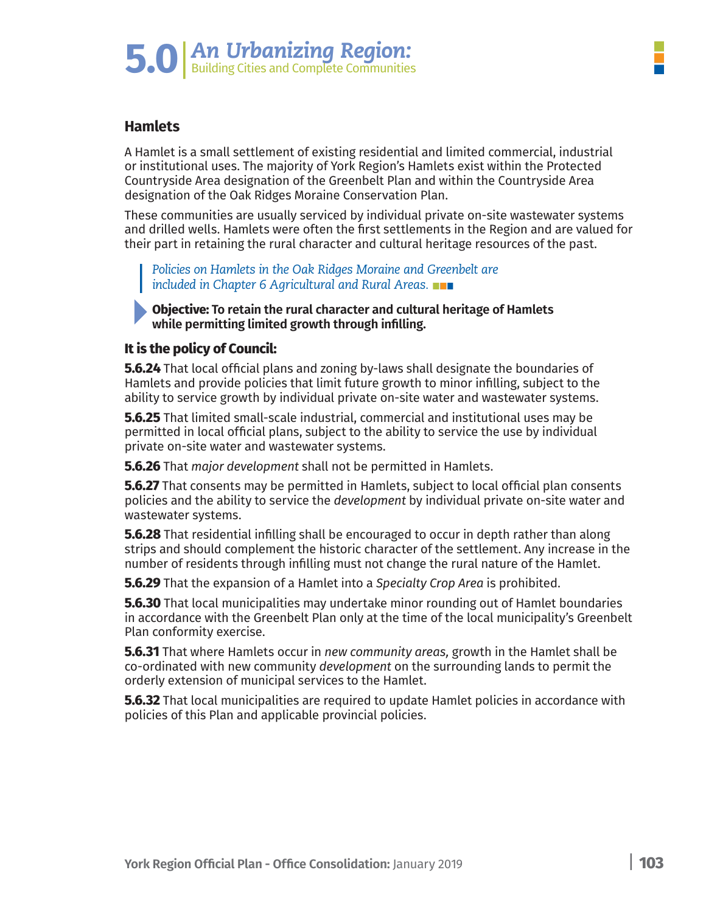#### **Hamlets**

A Hamlet is a small settlement of existing residential and limited commercial, industrial or institutional uses. The majority of York Region's Hamlets exist within the Protected Countryside Area designation of the Greenbelt Plan and within the Countryside Area designation of the Oak Ridges Moraine Conservation Plan.

These communities are usually serviced by individual private on-site wastewater systems and drilled wells. Hamlets were often the first settlements in the Region and are valued for their part in retaining the rural character and cultural heritage resources of the past.

*Policies on Hamlets in the Oak Ridges Moraine and Greenbelt are included in Chapter 6 Agricultural and Rural Areas.*

**Objective: To retain the rural character and cultural heritage of Hamlets while permitting limited growth through infilling.**

#### **It is the policy of Council:**

**5.6.24** That local official plans and zoning by-laws shall designate the boundaries of Hamlets and provide policies that limit future growth to minor infilling, subject to the ability to service growth by individual private on-site water and wastewater systems.

**5.6.25** That limited small-scale industrial, commercial and institutional uses may be permitted in local official plans, subject to the ability to service the use by individual private on-site water and wastewater systems.

**5.6.26** That *major development* shall not be permitted in Hamlets.

**5.6.27** That consents may be permitted in Hamlets, subject to local official plan consents policies and the ability to service the *development* by individual private on-site water and wastewater systems.

**5.6.28** That residential infilling shall be encouraged to occur in depth rather than along strips and should complement the historic character of the settlement. Any increase in the number of residents through infilling must not change the rural nature of the Hamlet.

**5.6.29** That the expansion of a Hamlet into a *Specialty Crop Area* is prohibited.

**5.6.30** That local municipalities may undertake minor rounding out of Hamlet boundaries in accordance with the Greenbelt Plan only at the time of the local municipality's Greenbelt Plan conformity exercise.

**5.6.31** That where Hamlets occur in *new community areas,* growth in the Hamlet shall be co-ordinated with new community *development* on the surrounding lands to permit the orderly extension of municipal services to the Hamlet.

**5.6.32** That local municipalities are required to update Hamlet policies in accordance with policies of this Plan and applicable provincial policies.